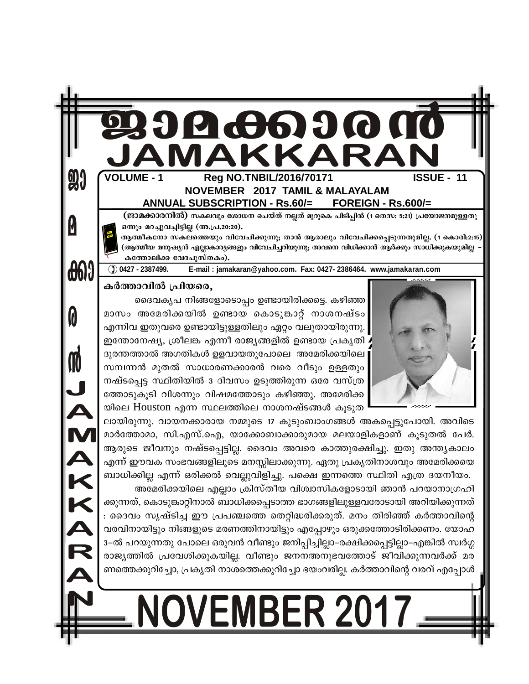# 19  $\hat{\bm{\theta}}$ **(H6)**

### **VOLUME - 1 ISSUE - 11** Rea NO.TNBIL/2016/70171 NOVEMBER 2017 TAMIL & MALAYALAM FOREIGN - Rs.600/= **ANNUAL SUBSCRIPTION - Rs.60/=**

(ജാമക്കാരനിൽ) സകലവും ശോധന ചെയ്ത് നല്ലത് മുറുകെ പിടിപ്പിൻ (1 തെസ: 5:21) പ്രയോജനമുള്ളതു ഒന്നും മറച്ചുവച്ചിട്ടില്ല (അ.പ്ര.20:20).

ആത്മീകനോ സകലത്തെയും വിവേചിക്കുന്നു; താൻ ആരാലും വിവേചിക്കപ്പെടുന്നതുമില്ല. (1 കൊരി:2:15) (ആത്മീയ മനുഷ്യൻ എല്ലാകാര്യങ്ങളും വിവേചിച്ചറിയുന്നു; അവനെ വിധിക്കാൻ ആർക്കും സാധിക്കുകയുമില്ല കത്തോലിക്ക വേദപുസ്തകം).

കർത്താവിൽ പ്രിയരെ.

**90** 

0

**cond** 

0

M

JAKKARJ

E-mail: jamakaran@yahoo.com. Fax: 0427-2386464. www.jamakaran.com

 $()$  0427 - 2387499.

ദൈവകൃപ നിങ്ങളോടൊപ്പം ഉണ്ടായിരിക്കട്ടെ. കഴിഞ്ഞ

മാസം അമേരിക്കയിൽ ഉണ്ടായ കൊടുങ്കാറ്റ് നാശനഷ്ടം എന്നിവ ഇതുവരെ ഉണ്ടായിട്ടുള്ളതിലും ഏറ്റം വലുതായിരുന്നു. ഇന്തോനേഷ്യ, ശ്രീലങ്ക എന്നീ രാജ്യങ്ങളിൽ ഉണ്ടായ പ്രകൃതി . ദുരന്തത്താൽ അഗതികൾ ഉളവായതുപോലെ അമേരിക്കയിലെ സമ്പന്നൻ മുതൽ സാധാരണക്കാരൻ വരെ വീടും ഉള്ളതും നഷ്ടപ്പെട്ട സ്ഥിതിയിൽ 3 ദിവസം ഉടുത്തിരുന്ന ഒരേ വസ്ത്ര ത്തോടുകൂടി വിശന്നും വിഷമത്തോടും കഴിഞ്ഞു. അമേരിക്ക യിലെ Houston എന്ന സ്ഥലത്തിലെ നാശനഷ്ടങ്ങൾ കൂടുത

ലായിരുന്നു. വായനക്കാരായ നമ്മുടെ 17 കുടുംബാംഗങ്ങൾ അകപ്പെട്ടുപോയി. അവിടെ മാർത്തോമാ, സി.എസ്.ഐ, യാക്കോബാക്കാരുമായ മലയാളികളാണ് കൂടുതൽ പേർ. ആരുടെ ജീവനും നഷ്ടപ്പെട്ടില്ല. ദൈവം അവരെ കാത്തുരക്ഷിച്ചു. ഇതു അന്ത്യകാലം എന്ന് ഈവക സംഭവങ്ങളിലൂടെ മനസ്സിലാക്കുന്നു. ഏതു പ്രകൃതിനാശവും അമേരിക്കയെ ബാധിക്കില്ല എന്ന് ഒരിക്കൽ വെല്ലുവിളിച്ചു. പക്ഷെ ഇന്നത്തെ സ്ഥിതി എത്ര ദയനീയം.

അമേരിക്കയിലെ എല്ലാം ക്രിസ്തീയ വിശ്വാസികളോടായി ഞാൻ പറയാനാഗ്രഹി ക്കുന്നത്, കൊടുങ്കാറ്റിനാൽ ബാധിക്കപ്പെടാത്ത ഭാഗങ്ങളിലുള്ളവരോടായി അറിയിക്കുന്നത് : ദൈവം സൃഷ്ടിച്ച ഈ പ്രപഞ്ചത്തെ തെറ്റിദ്ധരിക്കരുത്. മനം തിരിഞ്ഞ് കർത്താവിന്റെ വരവിനായിട്ടും നിങ്ങളുടെ മരണത്തിനായിട്ടും എപ്പോഴും ഒരുക്കത്തോടിരിക്കണം. യോഹ 3–ൽ പറയുന്നതു പോലെ ഒരുവൻ വീണ്ടും ജനിപ്പിച്ചില്ലാ–രക്ഷിക്കപ്പെട്ടില്ലാ–എങ്കിൽ സ്വർഗ്ഗ രാജ്യത്തിൽ പ്രവേശിക്കുകയില്ല. വീണ്ടും ജനനഅനുഭവത്തോട് ജീവിക്കുന്നവർക്ക് മര ണത്തെക്കുറിച്ചോ, പ്രകൃതി നാശത്തെക്കുറിച്ചോ ഭയംവരില്ല. കർത്താവിന്റെ വരവ് എപ്പോൾ

# **IOVEMBER 20<sup>.</sup>**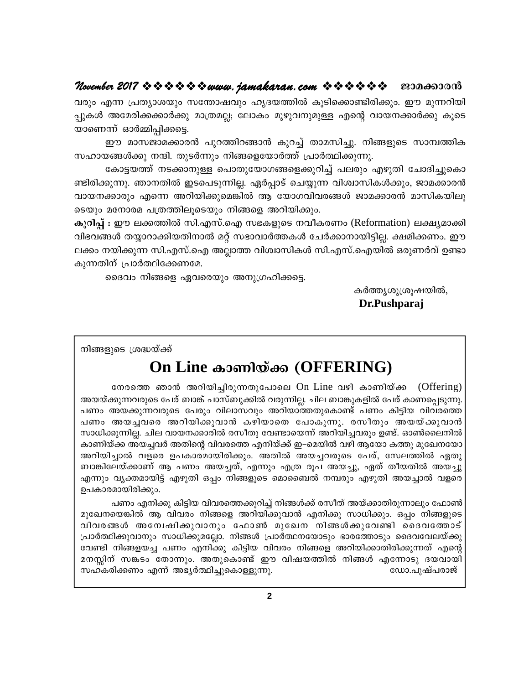# **November 2017 www.jamakaran.com Pma¡mc³**

hcpw F¶ {]Xym-ibpw kt´m-jhpw lrZ -b -¯n IqSn -s¡m-n -cn -¡pw. Cu ap¶-dn -bn - ¸p -IÄ Ata -cn -¡-¡mÀ¡p am{X -aÃ; temIw apgp -h-\p -apÅ Fsâ hmb -\-¡mÀ¡p IqsS bm-sW¶v HmÀ½n -¸n -¡-s«. Cu amk -Pm-a -¡m-c³ ]pd -¯n -d -§m³ Ipd¨v Xma -kn -¨p. \n§ -fpsS km¼ -¯nI വരും എന്ന പ്രത്യാശയും സന്തോഷവും ഹൃദയത്തിൽ കൂടിക്കൊണ്ടിരിക്കും. ഈ മുന്നറിയി<br>പ്പുകൾ അമേരിക്കക്കാർക്കു മാത്രമല്ല; ലോകം മുഴുവനുമുള്ള എന്റെ വായനക്കാർക്കു കൂടെ<br>യാണെന്ന് ഓർമ്മിപ്പിക്കട്ടെ.<br>സഹായങ്ങൾക്കു നന്ദി. തുടർന്നും നിങ്ങളെയോ

അമേരിക്കക്കാർക്കു മാത്രമല്ല; ലോകം മുഴുവനുമുള്ള എന്റെ വായനക്കാർക്കു കൂടെ<br>ന്ന് ഓർമ്മിപ്പിക്കട്ടെ.<br>ഈ മാസജാമക്കാരൻ പുറത്തിറങ്ങാൻ കുറച്ച് താമസിച്ചു. നിങ്ങളുടെ സാമ്പത്തിക<br>മങ്ങൾക്കു നന്ദി. തുടർന്നും നിങ്ങളെയോർത്ത് പ്രാർത്ഥിക്കുന n -cn -¡p -¶p. Rm\-Xn CS -s] -Sp -¶n -Ã. GÀ¸mSv sN¿p¶ hnizm-kn -IÄ¡pw, Pma -¡m-c³ ഈ മാസജാമക്കാരൻ പുറത്തിറങ്ങാൻ കുറച്ച് താമസിച്ചു. നിങ്ങളുടെ സാമ്പത്തിക<br>സഹായങ്ങൾക്കു നന്ദി. തുടർന്നും നിങ്ങളെയോർത്ത് പ്രാർത്ഥിക്കുന്നു.<br>"കോട്ടയത്ത് നടക്കാനുള്ള പൊതുയോഗങ്ങളെക്കുറിച്ച് പലരും എഴുതി ചോദിച്ചുകൊ<br>ണ്ടിരിക്കുന്നു. ഞാ സഹായങ്ങൾക്കു നന്ദി. തുടർന്നും നിങ്ങളെയോർത്ത് പ്രാർത്ഥിക്കുന്നു.<br>കോട്ടയത്ത് നടക്കാനുള്ള പൊതുയോഗങ്ങളെക്കുറിച്ച് പലരും എഴു<br>ണ്ടിരിക്കുന്നു. ഞാനതിൽ ഇടപെടുന്നില്ല. ഏർപ്പാട് ചെയ്യുന്ന വിശ്വാസികൾം<br>വായനക്കാരും എന്നെ അറിയിക്കുമെങ്ക കോട്ടയത്ത് നടക്കാനുള്ള പൊതുയോഗങ്ങളെക്കുറിച്ച് പലരും എഴുതി ചോദിച്ചുകൊ<br>ണ്ടിരിക്കുന്നു. ഞാനതിൽ ഇടപെടുന്നില്ല. ഏർപ്പാട് ചെയ്യുന്ന വിശ്വാസികൾക്കും, ജാമക്കാരൻ<br>വായനക്കാരും എന്നെ അറിയിക്കുമെങ്കിൽ ആ യോഗവിവരങ്ങൾ ജാമക്കാരൻ മാസികയിലൂ

ണ്ടിരിക്കുന്നു. ഞാനതിൽ ഇടപെടുന്നില്ല. ഏർപ്പാട് ചെയ്യുന്ന വിശ്വാസികൾക്കും, ജാമക്കാരൻ<br>വായനക്കാരും എന്നെ അറിയിക്കുമെങ്കിൽ ആ യോഗവിവരങ്ങൾ ജാമക്കാരൻ മാസികയിലൂ<br>ടെയും മനോരമ പത്രത്തിലൂടെയും നിങ്ങളെ അറിയിക്കും.<br>**കുറിപ്പ് :** ഈ ലക്കത വായനക്കാരും എന്നെ അറിയിക്കുമെങ്കിൽ ആ യോഗവിവരങ്ങൾ ജാമക്കാരൻ മാസികയിലൂ<br>ടെയും മനോരമ പത്രത്തിലൂടെയും നിങ്ങളെ അറിയിക്കും.<br>കു**റിപ്പ് :** ഈ ലക്കത്തിൽ സി.എസ്.ഐ സഭകളുടെ നവീകരണം (Reformation) ലക്ഷ്യമാക്കി<br>വിഭവങ്ങൾ തയ്യാറാക്കിയതിനാൽ ടെയും മനോരമ പത്രത്തിലൂടെയും നിങ്ങം<br>കു**റിപ്പ് :** ഈ ലക്കത്തിൽ സി.എസ്.ഐ ന<br>വിഭവങ്ങൾ തയ്യാറാക്കിയതിനാൽ മറ്റ് സഭാ<br>ലക്കം നയിക്കുന്ന സി.എസ്.ഐ അല്ലാത്ത<br>കുന്നതിന് പ്രാർത്ഥിക്കേണമേ.<br>കുന്നതിന് പ്രാർത്ഥിക്കേണമേ.<br>ബൈം നിങ്ങളെ ഏവരെയും അന : ഈ ലക്കത്തിൽ സി.എസ്.ഐ സഭകളുടെ നവീകരണം (Refc<br>ങൾ തയ്യാറാക്കിയതിനാൽ മറ്റ് സഭാവാർത്തകൾ ചേർക്കാനായിട്ട<br>നയിക്കുന്ന സി.എസ്.ഐ അല്ലാത്ത വിശ്വാസികൾ സി.എസ്.ഐ<br>റിന് പ്രാർത്ഥിക്കേണമേ.<br>ദൈവം നിങ്ങളെ ഏവരെയും അനുഗ്രഹിക്കട്ടെ.<br>കർര ായിട്ടില്ല. ക്ഷമിക്കണം. ഈ<br>ഐയിൽ ഒരുണർവ് ഉണ്ടാ<br>കർത്തൃശുശ്രൂഷയിൽ,<br>**Dr.Pushparaj** 

 **Dr.Pushparaj**

നിങ്ങളുടെ ശ്രദ്ധയ്ക്ക്

# $\mathbf{On} \mathrel{\mathbf{Line}}$  കാണിയ്ക്ക (OFFERING)

ുടെ ശ്രദ്ധയ്ക്ക്<br>— **On Line കാണിയ്ക്ക (OFFERING)**<br>തുന്നവരുടെ പേര് ബാങ്ക് പാസ്ബുക്കിൽ വരുന്നില്ല. ചില ബാങ്കുകളിൽ പേര് കാണപ്പെടുന്നു.<br>അയക്കുന്നവരുടെ പേരും വിലാസവും അറിയാത്തതുകൊണ്ട് പണം കിട്ടിയ വിവരത്തെ അയക്കുന്നവരുടെ ഫേരും അയയ്ക്കുന്നവരുടെ പേര് ബാങ്ക് പാസ്ബുക്കിൽ വരുന്നില്ല. ചില ബാങ്കുകളിൽ പേര് കാണപ്പെടുന്നു. പണം അയക്കുന്നവരുടെ പേരും വിലാസവും അറിയാത്തതുകൊണ്ട് പണം കിട്ടിയ വിവരത്തെ **UILINE കാണിയ്ക്ക് (UFFEAITTS)**<br>രോത്തെ ഞാൻ അറിയിച്ചിരുന്നതുപോലെ On Line വഴി കാണിയ്ക്ക (Offering)<br>അയയ്ക്കുന്നവരുടെ പേര് ബാങ്ക് പാസ്ബുക്കിൽ വരുന്നില്ല. ചില ബാങ്കുകളിൽ പേര് കാണപ്പെടുന്നു.<br>പണം അയച്ചവരെ അറിയിക്കുവാൻ കഴിയാതെ പോ സാധിക്കുന്നില്ല. ചില വായനക്കാരിൽ രസീതു വേണ്ടായെന്ന് അറിയിച്ചവരും ഉണ്ട്. ഓൺലൈനിൽ കാണിയ്ക്ക അയച്ചവർ അതിന്റെ വിവരത്തെ എനിയ്ക്ക് ഇ–മെയിൽ വഴി ആയോ കത്തു മുഖേനയോ പണം അയച്ചവരെ അറിയിക്കുവാൻ കഴിയാതെ പോകുന്നു. രസീതും അയയ്ക്കുവാൻ<br>സാധിക്കുന്നില്ല. ചില വായനക്കാരിൽ രസീതു വേണ്ടായെന്ന് അറിയിച്ചവരും ഉണ്ട്. ഓൺലൈനിൽ<br>കാണിയ്ക്ക അയച്ചവർ അതിന്റെ വിവരത്തെ എനിയ്ക്ക് ഇ–മെയിൽ വഴി ആയോ കത്തു മുഖേന ്ബാങ്കിലേയ്ക്കാണ് ആ പണം അയച്ചത്, എന്നും എത്ര രൂപ അയച്ചു, ഏത് തീയതിൽ അയച്ചു എന്നും വൃക്തമായിട്ട് എഴുതി ഒപ്പം നിങ്ങളുടെ മൊബൈൽ നമ്പരും എഴുതി അയച്ചാൽ വളരെ ഉപകാരമായിരിക്കും.

പണം എനിക്കു കിട്ടിയ വിവരത്തെക്കുറിച്ച് നിങ്ങൾക്ക് രസീത് അയ്ക്കാതിരുന്നാലും ഫോൺ മുഖേനയെങ്കിൽ ആ വിവരം നിങ്ങളെ അറിയിക്കുവാൻ എനിക്കു സാധിക്കും. ഒപ്പം നിങ്ങളുടെ എന്നും വൃക്തമായിട്ട് എഴുതി ഒപ്പം നിങ്ങളുടെ മൊബൈൽ നമ്പരും എഴുതി അയച്ചാൽ വളരെ<br>ഉപകാരമായിരിക്കും.<br>മുഖേനയെങ്കിൽ ആ വിവരം നിങ്ങളെ അറിയിക്കുവാൻ എനിക്കു സാധിക്കും. ഒപ്പം നിങ്ങളുടെ<br>വിവരങ്ങൾ അന്വേഷിക്കുവാനും ഫോൺ മുഖേന നിങ്ങൾക്കുവേണ് പ്രാർത്ഥിക്കുവാനും സാധിക്കുമല്ലോ. നിങ്ങൾ പ്രാർത്ഥനയോടും ഭാരത്തോടും ദൈവവേലയ്ക്കു| ് പണം എനിക്കു കിട്ടിയ വിവരത്തെക്കുറിച്ച് നിങ്ങൾക്ക് രസീത് അയ്ക്കാതിരുന്നാലും ഫോൺ<br>മുഖേനയെങ്കിൽ ആ വിവരം നിങ്ങളെ അറിയിക്കുവാൻ എനിക്കു സാധിക്കും. ഒപ്പം നിങ്ങളുടെ<br>വിവരങ്ങൾ അന്വേഷിക്കുവാനും ഫോൺ മുഖേന നിങ്ങൾക്കുവേണ്ടി ദൈവത്തോട്<br> മുഖേനയെങ്കിൽ ആ വിവരം നിങ്ങളെ അറിയിക്കുവാൻ എനിക്കു സാധിക്കും. ഒപ്പം നിങ്ങളുടെ<br>വിവരങ്ങൾ അന്വേഷിക്കുവാനും ഫോൺ മുഖേന നിങ്ങൾക്കുവേണ്ടി ദൈവതോട്<br>പ്രാർത്ഥിക്കുവാനും സാധിക്കുമല്ലോ. നിങ്ങൾ പ്രാർത്ഥനയോടും ഭാരത്തോടും ദൈവവേലയ്ക്കു<br>വേണ klIcn¡Ww F¶v A`yÀ°n¨psImÅp¶p. --tUm.]pjv]cmPv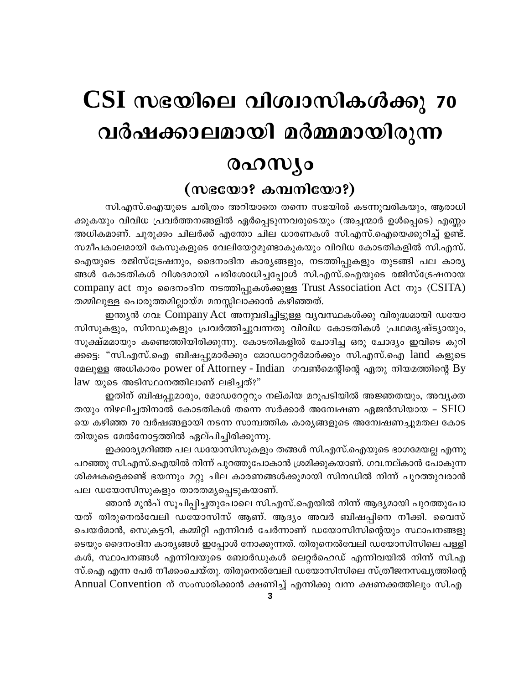# CSI സഭയിലെ വിശ്വാസികൾക്കു 70 വർഷക്കാലമായി മർമ്മമായിരുന്ന രഹസ്യം

# (സഭയോ? കമ്പനിയോ?)

സി.എസ്.ഐയുടെ ചരിത്രം അറിയാതെ തന്നെ സഭയിൽ കടന്നുവരികയും, ആരാധി ക്കുകയും വിവിധ പ്രവർത്തനങ്ങളിൽ ഏർപ്പെടുന്നവരുടെയും (അച്ചന്മാർ ഉൾപ്പെടെ) എണ്ണം അധികമാണ്. ചുരുക്കം ചിലർക്ക് എന്തോ ചില ധാരണകൾ സി.എസ്.ഐയെക്കുറിച്ച് ഉണ്ട്. സമീപകാലമായി കേസുകളുടെ വേലിയേറ്റമുണ്ടാകുകയും വിവിധ കോടതികളിൽ സി.എസ്. ഐയുടെ രജിസ്ട്രേഷനും, ദൈനംദിന കാര്യങ്ങളും, നടത്തിപ്പുകളും തുടങ്ങി പല കാര്യ ങ്ങൾ കോടതികൾ വിശദമായി പരിശോധിച്ചപ്പോൾ സി.എസ്.ഐയുടെ രജിസ്ട്രേഷനായ company act നും ദൈനംദിന നടത്തിപ്പുകൾക്കുള്ള Trust Association Act നും (CSITA) തമ്മിലുള്ള പൊരുത്തമില്ലായ്മ മനസ്സിലാക്കാൻ കഴിഞ്ഞത്.

ഇന്ത്യൻ ഗവ: Company Act അനുവദിച്ചിട്ടുള്ള വ്യവസ്ഥകൾക്കു വിരുദ്ധമായി ഡയോ സിസുകളും, സിനഡുകളും പ്രവർത്തിച്ചുവന്നതു വിവിധ കോടതികൾ പ്രഥമദൃഷ്ട്യായും, സൂക്ഷ്മമായും കണ്ടെത്തിയിരിക്കുന്നു. കോടതികളിൽ ചോദിച്ച ഒരു ചോദ്യം ഇവിടെ കുറി ക്കട്ടെ: "സി.എസ്.ഐ ബിഷപ്പുമാർക്കും മോഡറേറ്റർമാർക്കും സി.എസ്.ഐ land കളുടെ മേലുള്ള അധികാരം power of Attorney - Indian ഗവൺമെന്റിന്റെ ഏതു നിയമത്തിന്റെ By law യുടെ അടിസ്ഥാനത്തിലാണ് ലഭിച്ചത്?"

ഇതിന് ബിഷപ്പുമാരും, മോഡറേറ്ററും നല്കിയ മറുപടിയിൽ അജ്ഞതയും, അവൃക്ത തയും നിഴലിച്ചതിനാൽ കോടതികൾ തന്നെ സർക്കാർ അന്വേഷണ ഏജൻസിയായ –  ${\rm S} {\rm F} {\rm I} {\rm O}$ യെ കഴിഞ്ഞ 70 വർഷങ്ങളായി നടന്ന സാമ്പത്തിക കാര്യങ്ങളുടെ അന്വേഷണച്ചുമതല കോട തിയുടെ മേൽനോട്ടത്തിൽ ഏല്പിച്ചിരിക്കുന്നു.

ഇക്കാര്യമറിഞ്ഞ പല ഡയോസിസുകളും തങ്ങൾ സി.എസ്.ഐയുടെ ഭാഗമേയല്ല എന്നു പറഞ്ഞു സി.എസ്.ഐയിൽ നിന്ന് പുറത്തുപോകാൻ ശ്രമിക്കുകയാണ്. ഗവ.നല്കാൻ പോകുന്ന ശിക്ഷകളെക്കണ്ട് ഭയന്നും മറ്റു ചില കാരണങ്ങൾക്കുമായി സിനഡിൽ നിന്ന് പുറത്തുവരാൻ പല ഡയോസിസുകളും താരതമ്യപ്പെടുകയാണ്.

ഞാൻ മുൻപ് സുചിപ്പിച്ചതുപോലെ സി.എസ്.ഐയിൽ നിന്ന് ആദ്യമായി പുറത്തുപോ യത് തിരുനെൽവേലി ഡയോസിസ് ആണ്. ആദ്യം അവർ ബിഷപ്പിനെ നീക്കി. വൈസ് ചെയർമാൻ, സെക്രട്ടറി, കമ്മിറ്റി എന്നിവർ ചേർന്നാണ് ഡയോസിസിന്റെയും സ്ഥാപനങ്ങളു ടെയും ദൈനംദിന കാര്യങ്ങൾ ഇപ്പോൾ നോക്കുന്നത്. തിരുനെൽവേലി ഡയോസിസിലെ പള്ളി കൾ, സ്ഥാപനങ്ങൾ എന്നിവയുടെ ബോർഡുകൾ ലെറ്റർഹെഡ് എന്നിവയിൽ നിന്ന് സി.എ സ്.ഐ എന്ന പേർ നീക്കംചെയ്തു. തിരുനെൽവേലി ഡയോസിസിലെ സ്ത്രീജനസഖ്യത്തിന്റെ Annual Convention ന് സംസാരിക്കാൻ ക്ഷണിച്ച് എന്നിക്കു വന്ന ക്ഷണക്കത്തിലും സി.എ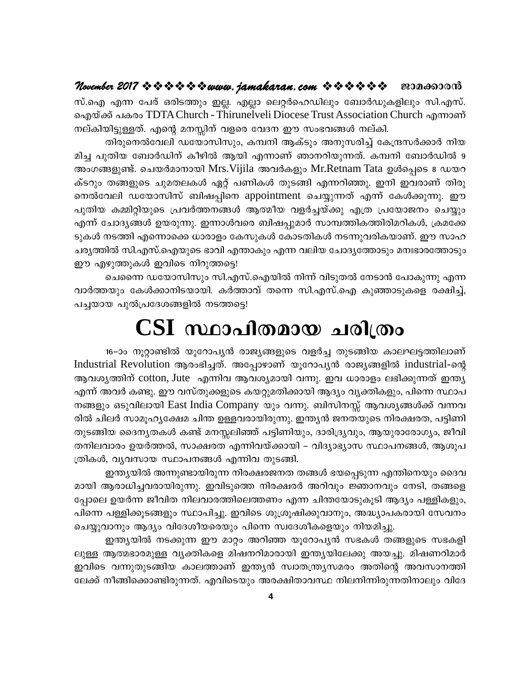### November 2017 \* \* \* \* \* \* \* www. jamakaran.com \* \* \* \* \* \* \* ജാമക്കാരൻ

സ്.ഐ എന്ന പേര് ഒരിടത്തും ഇല്ല. എല്ലാ ലെറ്റർഹെഡിലും ബോർഡുകളിലും സി.എസ്. வெறுல்க் வகல் TDTA Church - Thirunelveli Diocese Trust Association Church ஷாவை നല്കിയിട്ടുള്ളത്. എന്റെ മനസ്സിന് വളരെ വേദന ഈ സംഭവങ്ങൾ നല്കി.

തിരുനെൽവേലി ഡയോസിസും, കമ്പനി ആക്ടും അനുസരിച്ച് കേന്ദ്രസർക്കാർ നിയ മിച്ച പുതിയ ബോർഡിന് കീഴിൽ ആയി എന്നാണ് ഞാനറിയുന്നത്. കമ്പനി ബോർഡിൽ 9 അംഗങ്ങളുണ്ട്. ചെയർമാനായി Mrs.Vijila അവർകളും Mr.Retnam Tata ഉൾപ്പെടെ 8 ഡയറ ക്ടറും തങ്ങളുടെ ചുമതലകൾ ഏറ്റ് പണികൾ തുടങ്ങി എന്നറിഞ്ഞു. ഇനി ഇവരാണ് തിരു നെൽവേലി ഡയോസിസ് ബിഷപ്പിനെ appointment ചെയ്യുന്നത് എന്ന് കേൾക്കുന്നു. ഈ പുതിയ കമ്മിറ്റിയുടെ പ്രവർത്തനങ്ങൾ ആത്മീയ വളർച്ചയ്ക്കു എത്ര പ്രയോജനം ചെയ്യും എന്ന് ചോദ്യങ്ങൾ ഉയരുന്നു. ഇന്നാൾവരെ ബിഷപ്പുമാർ സാമ്പത്തികത്തിരിമറികൾ, ക്രമക്കേ ടുകൾ നടത്തി എന്നൊക്കെ ധാരാളം കേസുകൾ കോടതികൾ നടന്നുവരികയാണ്. ഈ സാഹ ചര്യത്തിൽ സി.എസ്.ഐയുടെ ഭാവി എന്താകും എന്ന വലിയ ചോദ്യത്തോടും മനഃഭാരത്തോടും ഈ എഴുത്തുകൾ ഇവിടെ നിറുത്തട്ടെ!

ചെന്നൈ ഡയോസിസും സി.എസ്.ഐയിൽ നിന്ന് വിടുതൽ നേടാൻ പോകുന്നു എന്ന വാർത്തയും കേൾക്കാനിടയായി. കർത്താവ് തന്നെ സി.എസ്.ഐ കുഞ്ഞാടുകളെ രക്ഷിച്ച്, പച്ചയായ പുൽപ്രദേശങ്ങളിൽ നടത്തട്ടെ!

# $\operatorname{CSI}$  സ്ഥാപിതമായ ചരിത്രം

16–ാം നൂറ്റാണ്ടിൽ യൂറോപ്യൻ രാജ്യങ്ങളുടെ വളർച്ച തുടങ്ങിയ കാലഘട്ടത്തിലാണ് Industrial Revolution ആരംഭിച്ചത്. അപ്പോഴാണ് യൂറോപൃൻ രാജ്യങ്ങളിൽ industrial-ന്റെ ആവശ്യത്തിന് cotton, Jute എന്നിവ ആവശ്യമായി വന്നു. ഇവ ധാരാളം ലഭിക്കുന്നത് ഇന്ത്യ എന്ന് അവർ കണ്ടു. ഈ വസ്തുക്കളുടെ കയറ്റുമതിക്കായി ആദ്യം വ്യക്തികളും, പിന്നെ സ്ഥാപ നങ്ങളും ഒടുവിലായി East India Company യും വന്നു. ബിസിനസ്സ് ആവശ്യങ്ങൾക്ക് വന്നവ രിൽ ചിലർ സാമൂഹ്യക്ഷേമ ചിന്ത ഉള്ളവരായിരുന്നു. ഇന്ത്യൻ ജനതയുടെ നിരക്ഷരത, പട്ടിണി തുടങ്ങിയ ദൈന്യതകൾ കണ്ട് മനസ്സലിഞ്ഞ് പട്ടിണിയും, ദാരിദ്ര്യവും, ആയുരാരോഗ്യം, ജീവി തനിലവാരം ഉയർത്തൽ, സാക്ഷരത എന്നിവയ്ക്കായി – വിദ്യാഭ്യാസ സ്ഥാപനങ്ങൾ, ആശുപ ത്രികൾ, വ്യവസായ സ്ഥാപനങ്ങൾ എന്നിവ തുടങ്ങി.

ഇന്ത്യയിൽ അന്നുണ്ടായിരുന്ന നിരക്ഷരജനത തങ്ങൾ ഭയപ്പെടുന്ന എന്തിനെയും ദൈവ മായി ആരാധിച്ചവരായിരുന്നു. ഇവിടുത്തെ നിരക്ഷരർ അറിവും ജ്ഞാനവും നേടി, തങ്ങളെ പ്പോലെ ഉയർന്ന ജീവിത നിലവാരത്തിലെത്തണം എന്ന ചിന്തയോടുകൂടി ആദ്യം പള്ളികളും, പിന്നെ പള്ളിക്കുടങ്ങളും സ്ഥാപിച്ചു. ഇവിടെ ശുശ്രുഷിക്കുവാനും, അദ്ധ്യാപകരായി സേവനം ചെയ്യുവാനും ആദ്യം വിദേശീയരെയും പിന്നെ സ്വദേശീകളെയും നിയമിച്ചു.

ഇന്ത്യയിൽ നടക്കുന്ന ഈ മാറ്റം അറിഞ്ഞ യൂറോപ്യൻ സഭകൾ തങ്ങളുടെ സഭകളി ലുള്ള ആത്മഭാരമുള്ള വൃക്തികളെ മിഷനറിമാരായി ഇന്ത്യയിലേക്കു അയച്ചു. മിഷണറിമാർ ഇവിടെ വന്നുതുടങ്ങിയ കാലത്താണ് ഇന്ത്യൻ സ്വാതന്ത്ര്യസമരം അതിന്റെ അവസാനത്തി ലേക്ക് നീങ്ങിക്കൊണ്ടിരുന്നത്. എവിടെയും അരക്ഷിതാവസ്ഥ നിലനിന്നിരുന്നതിനാലും വിദേ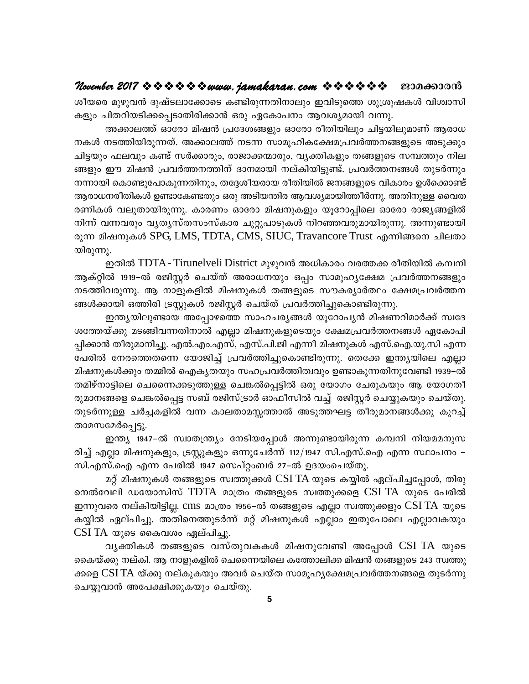# November 2017 \* \* \* \* \* \* www.jamakaran.com \* \* \* \* \* \* \* 201000000

ശീയരെ മുഴുവൻ ദുഷ്ടലാക്കോടെ കണ്ടിരുന്നതിനാലും ഇവിടുത്തെ ശുശ്രൂഷകൾ വിശ്വാസി കളും ചിതറിയടിക്കപ്പെടാതിരിക്കാൻ ഒരു ഏകോപനം ആവശ്യമായി വന്നു.

അക്കാലത്ത് ഓരോ മിഷൻ പ്രദേശങ്ങളും ഓരോ രീതിയിലും ചിട്ടയിലുമാണ് ആരാധ നകൾ നടത്തിയിരുന്നത്. അക്കാലത്ത് നടന്ന സാമൂഹികക്ഷേമപ്രവർത്തനങ്ങളുടെ അടുക്കും ചിട്ടയും ഫലവും കണ്ട് സർക്കാരും, രാജാക്കന്മാരും, വൃക്തികളും തങ്ങളുടെ സമ്പത്തും നില ങ്ങളും ഈ മിഷൻ പ്രവർത്തനത്തിന് ദാനമായി നല്കിയിട്ടുണ്ട്. പ്രവർത്തനങ്ങൾ തുടർന്നും നന്നായി കൊണ്ടുപോകുന്നതിനും, തദ്ദേശീയരായ രീതിയിൽ ജനങ്ങളുടെ വികാരം ഉൾക്കൊണ്ട് ആരാധനരീതികൾ ഉണ്ടാകേണ്ടതും ഒരു അടിയന്തിര ആവശ്യമായിത്തീർന്നു. അതിനുള്ള വൈത രണികൾ വലുതായിരുന്നു. കാരണം ഓരോ മിഷനുകളും യൂറോപ്പിലെ ഓരോ രാജ്യങ്ങളിൽ നിന്ന് വന്നവരും വ്യത്യസ്തസംസ്കാര ചുറ്റുപാടുകൾ നിറഞ്ഞവരുമായിരുന്നു. അന്നുണ്ടായി രുന്ന മിഷനുകൾ SPG, LMS, TDTA, CMS, SIUC, Travancore Trust എന്നിങ്ങനെ ചിലതാ യിരുന്നു.

ഇതിൽ TDTA - Tirunelveli District മുഴുവൻ അധികാരം വരത്തക്ക രീതിയിൽ കമ്പനി ആക്റ്റിൽ 1919–ൽ രജിസ്റ്റർ ചെയ്ത് അരാധനയും ഒപ്പം സാമൂഹൃക്ഷേമ പ്രവർത്തനങ്ങളും നടത്തിവരുന്നു. ആ നാളുകളിൽ മിഷനുകൾ തങ്ങളുടെ സൗകര്യാർത്ഥം ക്ഷേമപ്രവർത്തന ങ്ങൾക്കായി ഒത്തിരി ട്രസ്റ്റുകൾ രജിസ്റ്റർ ചെയ്ത് പ്രവർത്തിച്ചുകൊണ്ടിരുന്നു.

ഇന്ത്യയിലുണ്ടായ അപ്പോഴത്തെ സാഹചര്യങ്ങൾ യൂറോപ്യൻ മിഷണറിമാർക്ക് സ്വദേ ശത്തേയ്ക്കു മടങ്ങിവന്നതിനാൽ എല്ലാ മിഷനുകളുടെയും ക്ഷേമപ്രവർത്തനങ്ങൾ ഏകോപി പ്പിക്കാൻ തീരുമാനിച്ചു. എൽ.എം.എസ്, എസ്.പി.ജി എന്നീ മിഷനുകൾ എസ്.ഐ.യു.സി എന്ന പേരിൽ നേരത്തെതന്നെ യോജിച്ച് പ്രവർത്തിച്ചുകൊണ്ടിരുന്നു. തെക്കേ ഇന്ത്യയിലെ എല്ലാ മിഷനുകൾക്കും തമ്മിൽ ഐകൃതയും സഹപ്രവർത്തിത്വവും ഉണ്ടാകുന്നതിനുവേണ്ടി 1939–ൽ തമിഴ്നാട്ടിലെ ചെന്നൈക്കടുത്തുള്ള ചെങ്കൽപ്പെട്ടിൽ ഒരു യോഗം ചേരുകയും ആ യോഗതീ രുമാനങ്ങളെ ചെങ്കൽപ്പെട്ട സബ് രജിസ്ട്രാർ ഓഫീസിൽ വച്ച് രജിസ്റ്റർ ചെയ്യുകയും ചെയ്തു. തുടർന്നുള്ള ചർച്ചകളിൽ വന്ന കാലതാമസ്സത്താൽ അടുത്തഘട്ട തീരുമാനങ്ങൾക്കു കുറച്ച് താമസമേർപ്പെട്ടു.

ഇന്ത്യ 1947–ൽ സ്വാതന്ത്ര്യം നേടിയപ്പോൾ അന്നുണ്ടായിരുന്ന കമ്പനി നിയമമനുസ രിച്ച് എല്ലാ മിഷനുകളും, ട്രസ്റ്റുകളും ഒന്നുചേർന്ന് 112/1947 സി.എസ്.ഐ എന്ന സ്ഥാപനം – സി.എസ്.ഐ എന്ന പേരിൽ 1947 സെപ്റ്റംബർ 27–ൽ ഉദയംചെയ്തു.

മറ്റ് മിഷനുകൾ തങ്ങളുടെ സ്വത്തുക്കൾ CSI TA യുടെ കയ്യിൽ ഏല്പിച്ചപ്പോൾ, തിരു നെൽവേലി ഡയോസിസ് TDTA മാത്രം തങ്ങളുടെ സ്വത്തുക്കളെ CSI TA യുടെ പേരിൽ ഇന്നുവരെ നല്കിയിട്ടില്ല. cms മാത്രം 1956–ൽ തങ്ങളുടെ എല്ലാ സ്വത്തുക്കളും CSI TA യുടെ കയ്യിൽ ഏല്പിച്ചു. അതിനെത്തുടർന്ന് മറ്റ് മിഷനുകൾ എല്ലാം ഇതുപോലെ എല്ലാവകയും CSI TA യുടെ കൈവശം ഏല്പിച്ചു.

വൃക്തികൾ തങ്ങളുടെ വസ്തുവകകൾ മിഷനുവേണ്ടി അപോൾ CSI TA യുടെ കൈയ്ക്കു നല്കി. ആ നാളുകളിൽ ചെന്നൈയിലെ കത്തോലിക്ക മിഷൻ തങ്ങളുടെ 243 സ്വത്തു ക്കളെ CSI TA യ്ക്കു നല്കുകയും അവർ ചെയ്ത സാമൂഹൃക്ഷേമപ്രവർത്തനങ്ങളെ തുടർന്നു ചെയ്യുവാൻ അപേക്ഷിക്കുകയും ചെയ്തു.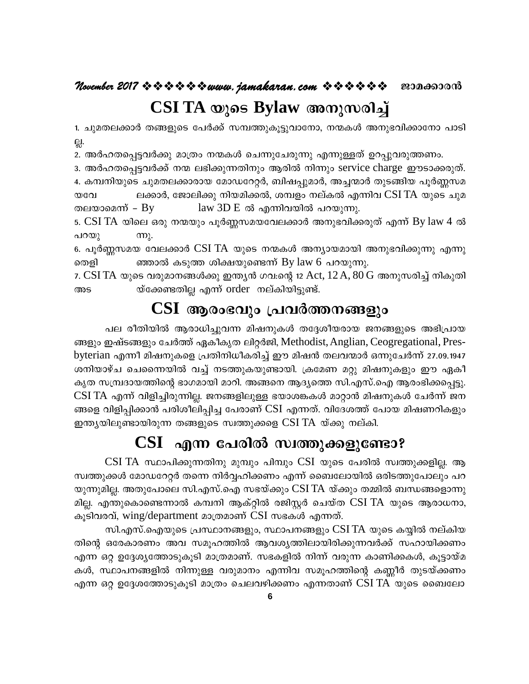### November 2017 \* \* \* \* \* \* \* www.jamakaran.com \* \* \* \* \* \* ജാമക്കാരൻ CSI TA യുടെ Bylaw അനുസരിച്ച്

1. ചുമതലക്കാർ തങ്ങളുടെ പേർക്ക് സമ്പത്തുകൂട്ടുവാനോ, നന്മകൾ അനുഭവിക്കാനോ പാടി 읝.

2. അർഹതപ്പെട്ടവർക്കു മാത്രം നന്മകൾ ചെന്നുചേരുന്നു എന്നുള്ളത് ഉറപ്പുവരുത്തണം.

3. അർഹതപ്പെട്ടവർക്ക് നന്മ ലഭിക്കുന്നതിനും ആരിൽ നിന്നും service charge ഈടാക്കരുത്. 4. കമ്പനിയുടെ ചുമതലക്കാരായ മോഡറേറ്റർ, ബിഷപ്പുമാർ, അച്ചന്മാർ തുടങ്ങിയ പൂർണ്ണസമ ലക്കാർ, ജോലിക്കു നിയമിക്കൽ, ശമ്പളം നല്കൽ എന്നിവ CSI TA യുടെ ചുമ യവേ  $law 3D E$  ൽ എന്നിവയിൽ പറയുന്നു. തലയാമെന്ന് – By

5. CSI TA യിലെ ഒരു നന്മയും പൂർണ്ണസമയവേലക്കാർ അനുഭവിക്കരുത് എന്ന് By law 4 ൽ പറയു  $m<sub>λ</sub>$ .

6. പൂർണ്ണസമയ വേലക്കാർ CSI TA യുടെ നന്മകൾ അന്യായമായി അനുഭവിക്കുന്നു എന്നു ഞ്ഞാൽ കടുത്ത ശിക്ഷയുണ്ടെന്ന് By law 6 പറയുന്നു. തെളി

7. CSI TA യുടെ വരുമാനങ്ങൾക്കു ഇന്ത്യൻ ഗവ:ന്റെ 12 Act, 12 A, 80 G അനുസരിച്ച് നികുതി യ്ക്കേണ്ടതില്ല എന്ന് order നല്കിയിട്ടുണ്ട്. അട

# CSI ആരംഭവും പ്രവർത്തനങ്ങളും

പല രീതിയിൽ ആരാധിച്ചുവന്ന മിഷനുകൾ തദ്ദേശീയരായ ജനങ്ങളുടെ അഭിപ്രായ ങ്ങളും ഇഷ്ടങ്ങളും ചേർത്ത് ഏകീകൃത ലിറ്റർജി, Methodist, Anglian, Ceogregational, Presbyterian എന്നീ മിഷനുകളെ പ്രതിനിധീകരിച്ച് ഈ മിഷൻ തലവന്മാർ ഒന്നുചേർന്ന് 27.09.1947 ശനിയാഴ്ച ചെന്നൈയിൽ വച്ച് നടത്തുകയുണ്ടായി. ക്രമേണ മറ്റു മിഷനുകളും ഈ ഏകീ കൃത സമ്പ്രദായത്തിന്റെ ഭാഗമായി മാറി. അങ്ങനെ ആദ്യത്തെ സി.എസ്.ഐ ആരംഭിക്കപ്പെട്ടു.  $\operatorname{CSI\,TA}$  എന്ന് വിളിച്ചിരുന്നില്ല. ജനങ്ങളിലുള്ള ഭയാശങ്കകൾ മാറ്റാൻ മിഷനുകൾ ചേർന്ന് ജന ങ്ങളെ വിളിപ്പിക്കാൻ പരിശീലിപ്പിച്ച പേരാണ് CSI എന്നത്. വിദേശത്ത് പോയ മിഷണറികളും ഇന്ത്യയിലുണ്ടായിരുന്ന തങ്ങളുടെ സ്വത്തുക്കളെ CSI TA യ്ക്കു നല്കി.

# $\operatorname{CSI}$  എന്ന പേരിൽ സ്വത്തുക്കളുണ്ടോ?

CSI TA സ്ഥാപിക്കുന്നതിനു മുമ്പും പിമ്പും CSI യുടെ പേരിൽ സ്വത്തുക്കളില്ല. ആ സ്വത്തുക്കൾ മോഡറേറ്റർ തന്നെ നിർവ്വഹിക്കണം എന്ന് ബൈലോയിൽ ഒരിടത്തുപോലും പറ യുന്നുമില്ല. അതുപോലെ സി.എസ്.ഐ സഭയ്ക്കും CSI TA യ്ക്കും തമ്മിൽ ബന്ധങ്ങളൊന്നു മില്ല. എന്തുകൊണ്ടെന്നാൽ കമ്പനി ആക്റ്റിൽ രജിസ്റ്റർ ചെയ്ത CSI TA യുടെ ആരാധനാ, കൂടിവരവ്, wing/department മാത്രമാണ് CSI സഭകൾ എന്നത്.

സി.എസ്.ഐയുടെ പ്രസ്ഥാനങ്ങളും, സ്ഥാപനങ്ങളും CSI TA യുടെ കയ്യിൽ നല്കിയ തിന്റെ ഒരേകാരണം അവ സമൂഹത്തിൽ ആവശ്യത്തിലായിരിക്കുന്നവർക്ക് സഹായിക്കണം എന്ന ഒറ്റ ഉദ്ദേശ്യത്തോടുകൂടി മാത്രമാണ്. സഭകളിൽ നിന്ന് വരുന്ന കാണിക്കകൾ, കൂട്ടായ്മ കൾ, സ്ഥാപനങ്ങളിൽ നിന്നുള്ള വരുമാനം എന്നിവ സമുഹത്തിന്റെ കണ്ണീർ തുടയ്ക്കണം എന്ന ഒറ്റ ഉദ്ദേശത്തോടുകൂടി മാത്രം ചെലവഴിക്കണം എന്നതാണ് CSI TA യുടെ ബൈലോ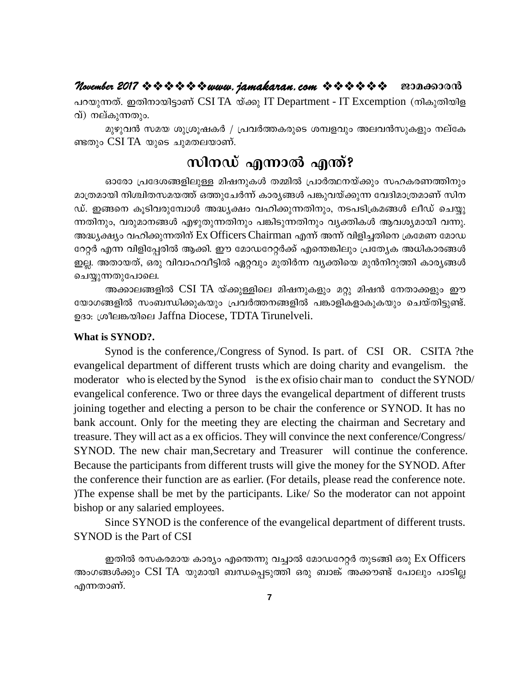### November 2017  $\Leftrightarrow$   $\Leftrightarrow$   $\Leftrightarrow$   $\Leftrightarrow$   $\Leftrightarrow$  wuvu. jamakaran. com  $\ \Leftrightarrow$   $\Leftrightarrow$   $\Leftrightarrow$   $\Leftrightarrow$   $\Leftrightarrow$   $\Leftrightarrow$ ജാമക്കാരൻ

പറയുന്നത്. ഇതിനായിട്ടാണ് CSI TA യ്ക്കു IT Department - IT Excemption (നികുതിയിള വ്) നല്കുന്നതും.

മുഴുവൻ സമയ ശുശ്രൂഷകർ / പ്രവർത്തകരുടെ ശമ്പളവും അലവൻസുകളും നല്കേ ണ്ടതും CSI TA യുടെ ചുമതലയാണ്.

# സിനഡ് എന്നാൽ എന്ത്?

ഓരോ പ്രദേശങ്ങളിലുള്ള മിഷനുകൾ തമ്മിൽ പ്രാർത്ഥനയ്ക്കും സഹകരണത്തിനും മാത്രമായി നിശ്ചിതസമയത്ത് ഒത്തുചേർന്ന് കാര്യങ്ങൾ പങ്കുവയ്ക്കുന്ന വേദിമാത്രമാണ് സിന ഡ്. ഇങ്ങനെ കൂടിവരുമ്പോൾ അദ്ധ്യക്ഷം വഹിക്കുന്നതിനും, നടപടിക്രമങ്ങൾ ലീഡ് ചെയ്യു ന്നതിനും, വരുമാനങ്ങൾ എഴുതുന്നതിനും പങ്കിടുന്നതിനും വ്യക്തികൾ ആവശ്യമായി വന്നു. അദ്ധ്യക്ഷ്യം വഹിക്കുന്നതിന് Ex Officers Chairman എന്ന് അന്ന് വിളിച്ചതിനെ ക്രമേണ മോഡ റേറ്റർ എന്ന വിളിപ്പേരിൽ ആക്കി. ഈ മോഡറേറ്റർക്ക് എന്തെങ്കിലും പ്രത്യേക അധികാരങ്ങൾ ഇല്ല. അതായത്, ഒരു വിവാഹവീട്ടിൽ ഏറ്റവും മുതിർന്ന വ്യക്തിയെ മുൻനിറുത്തി കാര്യങ്ങൾ ചെയ്യുന്നതുപോലെ.

അക്കാലങ്ങളിൽ CSI TA യ്ക്കുള്ളിലെ മിഷനുകളും മറ്റു മിഷൻ നേതാക്കളും ഈ യോഗങ്ങളിൽ സംബന്ധിക്കുകയും പ്രവർത്തനങ്ങളിൽ പങ്കാളികളാകുകയും ചെയ്തിട്ടുണ്ട്. ഉദാ: ശ്രീലങ്കയിലെ Jaffna Diocese, TDTA Tirunelveli.

### What is SYNOD?.

Synod is the conference,/Congress of Synod. Is part. of CSI OR. CSITA ?the evangelical department of different trusts which are doing charity and evangelism. the moderator who is elected by the Synod is the ex ofisio chair man to conduct the SYNOD/ evangelical conference. Two or three days the evangelical department of different trusts joining together and electing a person to be chair the conference or SYNOD. It has no bank account. Only for the meeting they are electing the chairman and Secretary and treasure. They will act as a ex officios. They will convince the next conference/Congress/ SYNOD. The new chair man, Secretary and Treasurer will continue the conference. Because the participants from different trusts will give the money for the SYNOD. After the conference their function are as earlier. (For details, please read the conference note. The expense shall be met by the participants. Like/So the moderator can not appoint bishop or any salaried employees.

Since SYNOD is the conference of the evangelical department of different trusts. SYNOD is the Part of CSI

ഇതിൽ രസകരമായ കാര്യം എന്തെന്നു വച്ചാൽ മോഡറേറ്റർ തുടങ്ങി ഒരു Ex Officers അംഗങ്ങൾക്കും CSI TA യുമായി ബന്ധപ്പെടുത്തി ഒരു ബാങ്ക് അക്കൗണ്ട് പോലും പാടില്ല എന്നതാണ്.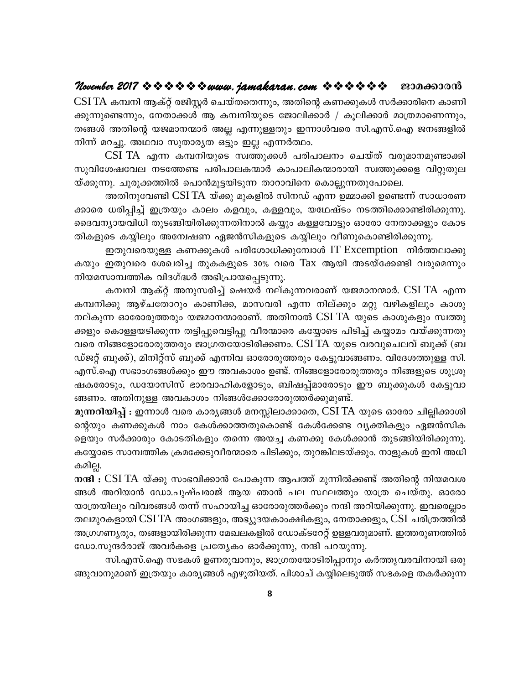### ജാമക്കാരൻ

 $\operatorname{CSI\,TA}$  കമ്പനി ആക്റ്റ് രജിസ്റ്റർ ചെയ്തതെന്നും, അതിന്റെ കണക്കുകൾ സർക്കാരിനെ കാണി ക്കുന്നുണ്ടെന്നും, നേതാക്കൾ ആ കമ്പനിയുടെ ജോലിക്കാർ / കൂലിക്കാർ മാത്രമാണെന്നും, തങ്ങൾ അതിന്റെ യജമാനന്മാർ അല്ല എന്നുള്ളതും ഇന്നാൾവരെ സി.എസ്.ഐ ജനങ്ങളിൽ നിന്ന് മറച്ചു. അഥവാ സുതാര്യത ഒട്ടും ഇല്ല എന്നർത്ഥം.

CSI TA എന്ന കമ്പനിയുടെ സ്വത്തുക്കൾ പരിപാലനം ചെയ്ത് വരുമാനമുണ്ടാക്കി സുവിശേഷവേല നടത്തേണ്ട പരിപാലകന്മാർ കാപാലികന്മാരായി സ്വത്തുക്കളെ വിറ്റുതുല യ്ക്കുന്നു. ചുരുക്കത്തിൽ പൊൻമുട്ടയിടുന്ന താറാവിനെ കൊല്ലുന്നതുപോലെ.

അതിനുവേണ്ടി CSI TA യ്ക്കു മുകളിൽ സിനഡ് എന്ന ഉമ്മാക്കി ഉണ്ടെന്ന് സാധാരണ ക്കാരെ ധരിപ്പിച്ച് ഇത്രയും കാലം കളവും, കള്ളവും, യഥേഷ്ടം നടത്തിക്കൊണ്ടിരിക്കുന്നു. ദൈവന്യായവിധി തുടങ്ങിയിരിക്കുന്നതിനാൽ കയ്യും കള്ളവോട്ടും ഓരോ നേതാക്കളും കോട തികളുടെ കയ്യിലും അന്വേഷണ ഏജൻസികളുടെ കയ്യിലും വീണുകൊണ്ടിരിക്കുന്നു.

ഇതുവരെയുള്ള കണക്കുകൾ പരിശോധിക്കുമ്പോൾ IT Excemption നിർത്തലാക്കു കയും ഇതുവരെ ശേഖരിച്ച തുകകളുടെ 30% വരെ Tax ആയി അടയ്ക്കേണ്ടി വരുമെന്നും നിയമസാമ്പത്തിക വിദഗ്ദ്ധർ അഭിപ്രായപ്പെടുന്നു.

കമ്പനി ആക്റ്റ് അനുസരിച്ച് ഷെയർ നല്കുന്നവരാണ് യജമാനന്മാർ. CSI TA എന്ന കമ്പനിക്കു ആഴ്ചതോറും കാണിക്ക, മാസവരി എന്ന നില്ക്കും മറ്റു വഴികളിലും കാശു നല്കുന്ന ഓരോരുത്തരും യജമാനന്മാരാണ്. അതിനാൽ CSI TA യുടെ കാശുകളും സ്വത്തു ക്കളും കൊള്ളയടിക്കുന്ന തട്ടിപ്പുവെട്ടിപ്പു വീരന്മാരെ കയ്യോടെ പിടിച്ച് കയ്യാമം വയ്ക്കുന്നതു വരെ നിങ്ങളോരോരുത്തരും ജാഗ്രതയോടിരിക്കണം. CSI TA യുടെ വരവുചെലവ് ബുക്ക് (ബ ഡ്ജറ്റ് ബുക്ക്), മിനിറ്റ്സ് ബുക്ക് എന്നിവ ഓരോരുത്തരും കേട്ടുവാങ്ങണം. വിദേശത്തുള്ള സി. എസ്.ഐ സഭാംഗങ്ങൾക്കും ഈ അവകാശം ഉണ്ട്. നിങ്ങളോരോരുത്തരും നിങ്ങളുടെ ശുശ്രൂ ഷകരോടും, ഡയോസിസ് ഭാരവാഹികളോടും, ബിഷപ്പ്മാരോടും ഈ ബുക്കുകൾ കേട്ടുവാ ങ്ങണം. അതിനുള്ള അവകാശം നിങ്ങൾക്കോരോരുത്തർക്കുമുണ്ട്.

മുന്നറിയിപ്പ് : ഇന്നാൾ വരെ കാര്യങ്ങൾ മനസ്സിലാക്കാതെ, CSI TA യുടെ ഓരോ ചില്ലിക്കാശി ന്റെയും കണക്കുകൾ നാം കേൾക്കാത്തതുകൊണ്ട് കേൾക്കേണ്ട വ്യക്തികളും ഏജൻസിക ളെയും സർക്കാരും കോടതികളും തന്നെ അയച്ച കണക്കു കേൾക്കാൻ തുടങ്ങിയിരിക്കുന്നു. കയ്യോടെ സാമ്പത്തിക ക്രമക്കേടുവീരന്മാരെ പിടിക്കും, തുറങ്കിലടയ്ക്കും. നാളുകൾ ഇനി അധി കമില്ല.

നന്ദി : CSI TA യ്ക്കു സംഭവിക്കാൻ പോകുന്ന ആപത്ത് മുന്നിൽക്കണ്ട് അതിന്റെ നിയമവശ ങ്ങൾ അറിയാൻ ഡോ.പുഷ്പരാജ് ആയ ഞാൻ പല സ്ഥലത്തും യാത്ര ചെയ്തു. ഓരോ യാത്രയിലും വിവരങ്ങൾ തന്ന് സഹായിച്ച ഓരോരുത്തർക്കും നന്ദി അറിയിക്കുന്നു. ഇവരെല്ലാം തലമുറകളായി CSI TA അംഗങ്ങളും, അഭ്യുദയകാംക്ഷികളും, നേതാക്കളും, CSI ചരിത്രത്തിൽ അഗ്രഗണ്യരും, തങ്ങളായിരിക്കുന്ന മേഖലകളിൽ ഡോക്ടറേറ്റ് ഉള്ളവരുമാണ്. ഇത്തരുണത്തിൽ ഡോ.സുന്ദർരാജ് അവർകളെ പ്രത്യേകം ഓർക്കുന്നു, നന്ദി പറയുന്നു.

സി.എസ്.ഐ സഭകൾ ഉണരുവാനും, ജാഗ്രതയോടിരിപ്പാനും കർത്തൃവരവിനായി ഒരു ങ്ങുവാനുമാണ് ഇത്രയും കാര്യങ്ങൾ എഴുതിയത്. പിശാച് കയ്യിലെടുത്ത് സഭകളെ തകർക്കുന്ന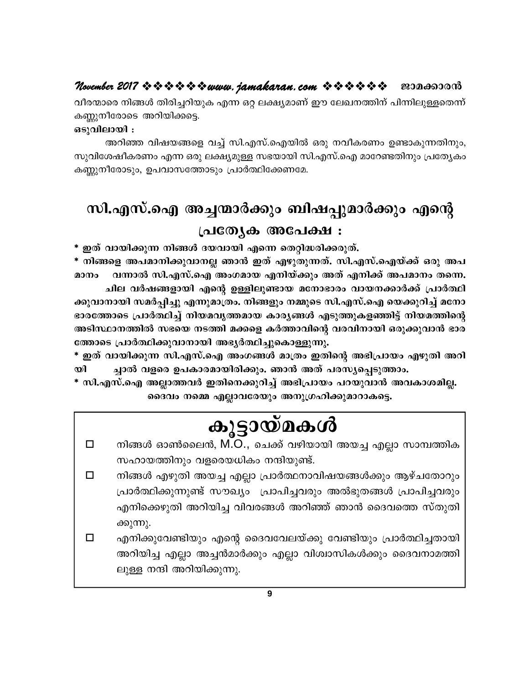### November 2017 \* \* \* \* \* \* \* www. jamakaran.com \* \* \* \* \* \* \* ജാമക്കാരൻ

വീരന്മാരെ നിങ്ങൾ തിരിച്ചറിയുക എന്ന ഒറ്റ ലക്ഷ്യമാണ് ഈ ലേഖനത്തിന് പിന്നിലുള്ളതെന്ന് കണ്ണുനീരോടെ അറിയിക്കട്ടെ.

### ഒടുവിലായി :

അറിഞ്ഞ വിഷയങ്ങളെ വച്ച് സി.എസ്.ഐയിൽ ഒരു നവീകരണം ഉണ്ടാകുന്നതിനും, സുവിശേഷീകരണം എന്ന ഒരു ലക്ഷ്യമുള്ള സഭയായി സി.എസ്.ഐ മാറേണ്ടതിനും പ്രത്യേകം കണ്ണുനീരോടും, ഉപവാസത്തോടും പ്രാർത്ഥിക്കേണമേ.

# സി.എസ്.ഐ അച്ചന്മാർക്കും ബിഷപ്പുമാർക്കും എന്റെ പ്രത്യേക അപേക്ഷ :

\* ഇത് വായിക്കുന്ന നിങ്ങൾ ദയവായി എന്നെ തെറ്റിദ്ധരിക്കരുത്.

\* നിങ്ങളെ അപമാനിക്കുവാനല്ല ഞാൻ ഇത് എഴുതുന്നത്. സി.എസ്.ഐയ്ക്ക് ഒരു അപ മാനം വന്നാൽ സി.എസ്.ഐ അംഗമായ എനിയ്ക്കും അത് എനിക്ക് അപമാനം തന്നെ. ചില വർഷങ്ങളായി എന്റെ ഉള്ളിലുണ്ടായ മനോഭാരം വായനക്കാർക്ക് പ്രാർത്ഥി ക്കുവാനായി സമർപ്പിച്ചു എന്നുമാത്രം. നിങ്ങളും നമ്മുടെ സി.എസ്.ഐ യെക്കുറിച്ച് മനോ ഭാരത്തോടെ പ്രാർത്ഥിച്ച് നിയമവൃത്തമായ കാരൃങ്ങൾ എടുത്തുകളഞ്ഞിട്ട് നിയമത്തിന്റെ അടിസ്ഥാനത്തിൽ സഭയെ നടത്തി മക്കളെ കർത്താവിന്റെ വരവിനായി ഒരുക്കുവാൻ ഭാര ത്തോടെ പ്രാർത്ഥിക്കുവാനായി അഭ്യർത്ഥിച്ചുകൊള്ളുന്നു.

\* ഇത് വായിക്കുന്ന സി.എസ്.ഐ അംഗങ്ങൾ മാത്രം ഇതിന്റെ അഭിപ്രായം എഴുതി അറി യി ച്ചാൽ വളരെ ഉപകാരമായിരിക്കും. ഞാൻ അത് പരസ്യപ്പെടുത്താം.

\* സി.എസ്.ഐ അല്ലാത്തവർ ഇതിനെക്കുറിച്ച് അഭിപ്രായം പറയുവാൻ അവകാശമില്ല. ദൈവം നമ്മെ എല്ലാവരേയും അനുഗ്രഹിക്കുമാറാകട്ടെ.

# കൂട്ടായ്മകൾ

- നിങ്ങൾ ഓൺലൈൻ, M.O., ചെക്ക് വഴിയായി അയച്ച എല്ലാ സാമ്പത്തിക  $\Box$ സഹായത്തിനും വളരെയധികം നന്ദിയുണ്ട്.
- നിങ്ങൾ എഴുതി അയച്ച എല്ലാ പ്രാർത്ഥനാവിഷയങ്ങൾക്കും ആഴ്ചതോറും  $\Box$ പ്രാർത്ഥിക്കുന്നുണ്ട് സൗഖ്യം പ്രാപിച്ചവരും അൽഭുതങ്ങൾ പ്രാപിച്ചവരും എനിക്കെഴുതി അറിയിച്ച വിവരങ്ങൾ അറിഞ്ഞ് ഞാൻ ദൈവത്തെ സ്തുതി ക്കുന്നു.
- $\Box$ എനിക്കുവേണ്ടിയും എന്റെ ദൈവവേലയ്ക്കു വേണ്ടിയും പ്രാർത്ഥിച്ചതായി അറിയിച്ച എല്ലാ അച്ചൻമാർക്കും എല്ലാ വിശ്വാസികൾക്കും ദൈവനാമത്തി ലുള്ള നന്ദി അറിയിക്കുന്നു.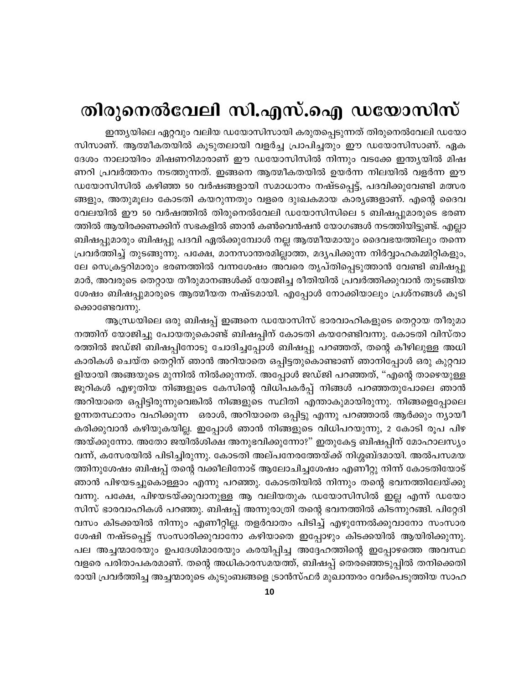# തിരുനെൽവേലി സി.എസ്.ഐ ഡയോസിസ്

ഇന്ത്യയിലെ ഏറ്റവും വലിയ ഡയോസിസായി കരുതപ്പെടുന്നത് തിരുനെൽവേലി ഡയോ സിസാണ്. ആത്മീകതയിൽ കൂടുതലായി വളർച്ച പ്രാപിച്ചതും ഈ ഡയോസിസാണ്. ഏക ദേശം നാലായിരം മിഷണറിമാരാണ് ഈ ഡയോസിസിൽ നിന്നും വടക്കേ ഇന്ത്യയിൽ മിഷ ണറി പ്രവർത്തനം നടത്തുന്നത്. ഇങ്ങനെ ആത്മീകതയിൽ ഉയർന്ന നിലയിൽ വളർന്ന ഈ ഡയോസിസിൽ കഴിഞ്ഞ 50 വർഷങ്ങളായി സമാധാനം നഷ്ടപ്പെട്ട്, പദവിക്കുവേണ്ടി മത്സര ങ്ങളും, അതുമൂലം കോടതി കയറുന്നതും വളരെ ദുഃഖകമായ കാരൃങ്ങളാണ്. എന്റെ ദൈവ വേലയിൽ ഈ 50 വർഷത്തിൽ തിരുനെൽവേലി ഡയോസിസിലെ 5 ബിഷപ്പുമാരുടെ ഭരണ ത്തിൽ ആയിരക്കണക്കിന് സഭകളിൽ ഞാൻ കൺവെൻഷൻ യോഗങ്ങൾ നടത്തിയിട്ടുണ്ട്. എല്ലാ ബിഷപ്പുമാരും ബിഷപ്പു പദവി ഏൽക്കുമ്പോൾ നല്ല ആത്മീയമായും ദൈവഭയത്തിലും തന്നെ പ്രവർത്തിച്ച് തുടങ്ങുന്നു. പക്ഷേ, മാനസാന്തരമില്ലാത്ത, മദൃപിക്കുന്ന നിർവ്വാഹകമ്മിറ്റികളും, ലേ സെക്രട്ടറിമാരും ഭരണത്തിൽ വന്നശേഷം അവരെ തൃപ്തിപ്പെടുത്താൻ വേണ്ടി ബിഷപ്പു മാർ, അവരുടെ തെറ്റായ തീരുമാനങ്ങൾക്ക് യോജിച്ച രീതിയിൽ പ്രവർത്തിക്കുവാൻ തുടങ്ങിയ ശേഷം ബിഷപ്പുമാരുടെ ആത്മീയത നഷ്ടമായി. എപ്പോൾ നോക്കിയാലും പ്രശ്നങ്ങൾ കൂടി ക്കൊണ്ടേവന്നു.

ആന്ധ്രയിലെ ഒരു ബിഷപ്പ് ഇങ്ങനെ ഡയോസിസ് ഭാരവാഹികളുടെ തെറ്റായ തീരുമാ നത്തിന് യോജിച്ചു പോയതുകൊണ്ട് ബിഷപ്പിന് കോടതി കയറേണ്ടിവന്നു. കോടതി വിസ്താ രത്തിൽ ജഡ്ജി ബിഷപ്പിനോടു ചോദിച്ചപ്പോൾ ബിഷപ്പു പറഞ്ഞത്, തന്റെ കീഴിലുള്ള അധി കാരികൾ ചെയ്ത തെറ്റിന് ഞാൻ അറിയാതെ ഒപ്പിട്ടതുകൊണ്ടാണ് ഞാനിപ്പോൾ ഒരു കുറ്റവാ ളിയായി അങ്ങയുടെ മുന്നിൽ നിൽക്കുന്നത്. അപ്പോൾ ജഡ്ജി പറഞ്ഞത്, "എന്റെ താഴെയുള്ള ജൂറികൾ എഴുതിയ നിങ്ങളുടെ കേസിന്റെ വിധിപകർപ്പ് നിങ്ങൾ പറഞ്ഞതുപോലെ ഞാൻ അറിയാതെ ഒപ്പിട്ടിരുന്നുവെങ്കിൽ നിങ്ങളുടെ സ്ഥിതി എന്താകുമായിരുന്നു. നിങ്ങളെപ്പോലെ ഉന്നതസ്ഥാനം വഹിക്കുന്ന ഒരാൾ, അറിയാതെ ഒപ്പിട്ടു എന്നു പറഞ്ഞാൽ ആർക്കും ന്യായീ കരിക്കുവാൻ കഴിയുകയില്ല. ഇപ്പോൾ ഞാൻ നിങ്ങളുടെ വിധിപറയുന്നു, 2 കോടി രൂപ പിഴ അയ്ക്കുന്നോ. അതോ ജയിൽശിക്ഷ അനുഭവിക്കുന്നോ?" ഇതുകേട്ട ബിഷപ്പിന് മോഹാലസ്യം വന്ന്, കസേരയിൽ പിടിച്ചിരുന്നു. കോടതി അല്പനേരത്തേയ്ക്ക് നിശ്ശബ്ദമായി. അൽപസമയ ത്തിനുശേഷം ബിഷപ്പ് തന്റെ വക്കീലിനോട് ആലോചിച്ചശേഷം എണീറ്റു നിന്ന് കോടതിയോട് ഞാൻ പിഴയടച്ചുകൊള്ളാം എന്നു പറഞ്ഞു. കോടതിയിൽ നിന്നും തന്റെ ഭവനത്തിലേയ്ക്കു വന്നു. പക്ഷേ, പിഴയടയ്ക്കുവാനുള്ള ആ വലിയതുക ഡയോസിസിൽ ഇല്ല എന്ന് ഡയോ സിസ് ഭാരവാഹികൾ പറഞ്ഞു. ബിഷപ്പ് അന്നുരാത്രി തന്റെ ഭവനത്തിൽ കിടന്നുറങ്ങി. പിറ്റേദി വസം കിടക്കയിൽ നിന്നും എണീറ്റില്ല. തളർവാതം പിടിച്ച് എഴുന്നേൽക്കുവാനോ സംസാര ശേഷി നഷ്ടപ്പെട്ട് സംസാരിക്കുവാനോ കഴിയാതെ ഇപ്പോഴും കിടക്കയിൽ ആയിരിക്കുന്നു. പല അച്ചന്മാരേയും ഉപദേശിമാരേയും കരയിപ്പിച്ച അദ്ദേഹത്തിന്റെ ഇപ്പോഴത്തെ അവസ്ഥ വളരെ പരിതാപകരമാണ്. തന്റെ അധികാരസമയത്ത്, ബിഷപ്പ് തെരഞ്ഞെടുപ്പിൽ തനിക്കെതി രായി പ്രവർത്തിച്ച അച്ചന്മാരുടെ കുടുംബങ്ങളെ ട്രാൻസ്ഫർ മുഖാന്തരം വേർപെടുത്തിയ സാഹ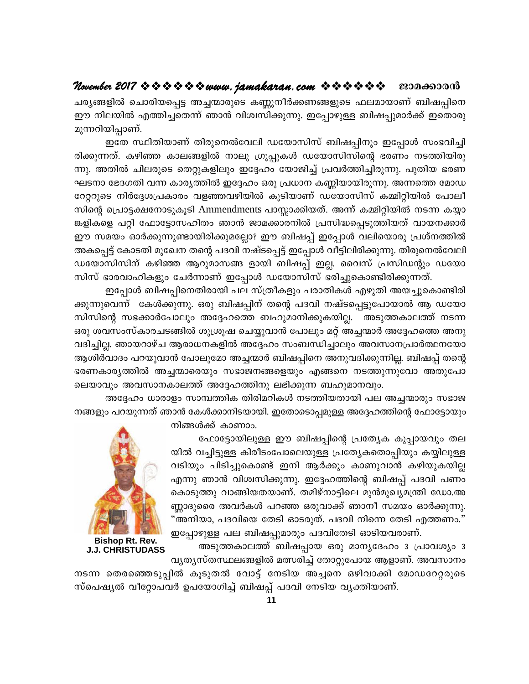### November 2017  $\Leftrightarrow$   $\Leftrightarrow$   $\Leftrightarrow$   $\Leftrightarrow$   $\Leftrightarrow$  wuvu.  $jamakaran$ . com  $\Rightarrow$   $\Leftrightarrow$   $\Leftrightarrow$   $\Leftrightarrow$   $\Leftrightarrow$   $\Leftrightarrow$ ജാമക്കാരൻ

ചര്യങ്ങളിൽ ചൊരിയപ്പെട്ട അച്ചന്മാരുടെ കണ്ണുനീർക്കണങ്ങളുടെ ഫലമായാണ് ബിഷപ്പിനെ ഈ നിലയിൽ എത്തിച്ചതെന്ന് ഞാൻ വിശ്വസിക്കുന്നു. ഇപ്പോഴുള്ള ബിഷപ്പുമാർക്ക് ഇതൊരു മുന്നറിയിപ്പാണ്.

ഇതേ സ്ഥിതിയാണ് തിരുനെൽവേലി ഡയോസിസ് ബിഷപ്പിനും ഇപ്പോൾ സംഭവിച്ചി രിക്കുന്നത്. കഴിഞ്ഞ കാലങ്ങളിൽ നാലു ഗ്രൂപ്പുകൾ ഡയോസിസിന്റെ ഭരണം നടത്തിയിരു ന്നു. അതിൽ ചിലരുടെ തെറ്റുകളിലും ഇദ്ദേഹം യോജിച്ച് പ്രവർത്തിച്ചിരുന്നു. പുതിയ ഭരണ ഘടനാ ഭേദഗതി വന്ന കാര്യത്തിൽ ഇദ്ദേഹം ഒരു പ്രധാന കണ്ണിയായിരുന്നു. അന്നത്തെ മോഡ റേറ്ററുടെ നിർദ്ദേശപ്രകാരം വളഞ്ഞവഴിയിൽ കൂടിയാണ് ഡയോസിസ് കമ്മിറ്റിയിൽ പോലീ സിന്റെ പ്രൊട്ടക്ഷനോടുകൂടി Ammendments പാസ്സാക്കിയത്. അന്ന് കമ്മിറ്റിയിൽ നടന്ന കയ്യാ ങ്കളികളെ പറ്റി ഫോട്ടോസഹിതം ഞാൻ ജാമക്കാരനിൽ പ്രസിദ്ധപ്പെടുത്തിയത് വായനക്കാർ ഈ സമയം ഓർക്കുന്നുണ്ടായിരിക്കുമല്ലോ? ഈ ബിഷപ്പ് ഇപ്പോൾ വലിയൊരു പ്രശ്നത്തിൽ അകപ്പെട്ട് കോടതി മുഖേന തന്റെ പദവി നഷ്ടപ്പെട്ട് ഇപ്പോൾ വീട്ടിലിരിക്കുന്നു. തിരുനെൽവേലി ഡയോസിസിന് കഴിഞ്ഞ ആറുമാസങ്ങ ളായി ബിഷപ്പ് ഇല്ല. വൈസ് പ്രസിഡന്റും ഡയോ സിസ് ഭാരവാഹികളും ചേർന്നാണ് ഇപ്പോൾ ഡയോസിസ് ഭരിച്ചുകൊണ്ടിരിക്കുന്നത്.

ഇപ്പോൾ ബിഷപ്പിനെതിരായി പല സ്ത്രീകളും പരാതികൾ എഴുതി അയച്ചുകൊണ്ടിരി ക്കുന്നുവെന്ന് കേൾക്കുന്നു. ഒരു ബിഷപ്പിന് തന്റെ പദവി നഷ്ടപ്പെട്ടുപോയാൽ ആ ഡയോ സിസിന്റെ സഭക്കാർപോലും അദ്ദേഹത്തെ ബഹുമാനിക്കുകയില്ല. അടുത്തകാലത്ത് നടന്ന ഒരു ശവസംസ്കാരചടങ്ങിൽ ശുശ്രൂഷ ചെയ്യുവാൻ പോലും മറ്റ് അച്ചന്മാർ അദ്ദേഹത്തെ അനു വദിച്ചില്ല. ഞായറാഴ്ച ആരാധനകളിൽ അദ്ദേഹം സംബന്ധിച്ചാലും അവസാനപ്രാർത്ഥനയോ ആശിർവാദം പറയുവാൻ പോലുമോ അച്ചന്മാർ ബിഷപ്പിനെ അനുവദിക്കുന്നില്ല. ബിഷപ്പ് തന്റെ ഭരണകാര്യത്തിൽ അച്ചന്മാരെയും സഭാജനങ്ങളെയും എങ്ങനെ നടത്തുന്നുവോ അതുപോ ലെയാവും അവസാനകാലത്ത് അദ്ദേഹത്തിനു ലഭിക്കുന്ന ബഹുമാനവും.

അദ്ദേഹം ധാരാളം സാമ്പത്തിക തിരിമറികൾ നടത്തിയതായി പല അച്ചന്മാരും സഭാജ നങ്ങളും പറയുന്നത് ഞാൻ കേൾക്കാനിടയായി. ഇതോടൊപ്പമുള്ള അദ്ദേഹത്തിന്റെ ഫോട്ടോയും നിങ്ങൾക്ക് കാണാം.

> ഫോട്ടോയിലുള്ള ഈ ബിഷപ്പിന്റെ പ്രത്യേക കുപ്പായവും തല യിൽ വച്ചിട്ടുള്ള കിരീടംപോലെയുള്ള പ്രത്യേകതൊപ്പിയും കയ്യിലുള്ള വടിയും പിടിച്ചുകൊണ്ട് ഇനി ആർക്കും കാണുവാൻ കഴിയുകയില്ല എന്നു ഞാൻ വിശ്വസിക്കുന്നു. ഇദ്ദേഹത്തിന്റെ ബിഷപ്പ് പദവി പണം കൊടുത്തു വാങ്ങിയതയാണ്. തമിഴ്നാട്ടിലെ മുൻമുഖ്യമന്ത്രി ഡോ.അ ണ്ണാദുരൈ അവർകൾ പറഞ്ഞ ഒരുവാക്ക് ഞാനീ സമയം ഓർക്കുന്നു. "അനിയാ, പദവിയെ തേടി ഓടരുത്. പദവി നിന്നെ തേടി എത്തണം." ഇപ്പോഴുള്ള പല ബിഷപ്പുമാരും പദവിതേടി ഓടിയവരാണ്.

അടുത്തകാലത്ത് ബിഷപ്പായ ഒരു മാനൃദേഹം 3 പ്രാവശ്യം 3 വൃതൃസ്തസ്ഥലങ്ങളിൽ മത്സരിച്ച് തോറ്റുപോയ ആളാണ്. അവസാനം



**Bishop Rt. Rev. J.J. CHRISTUDASS** 

നടന്ന തെരഞ്ഞെടുപ്പിൽ കൂടുതൽ വോട്ട് നേടിയ അച്ചനെ ഒഴിവാക്കി മോഡറേറ്റരുടെ സ്പെഷ്യൽ വീറ്റോപവർ ഉപയോഗിച്ച് ബിഷപ്പ് പദവി നേടിയ വ്യക്തിയാണ്.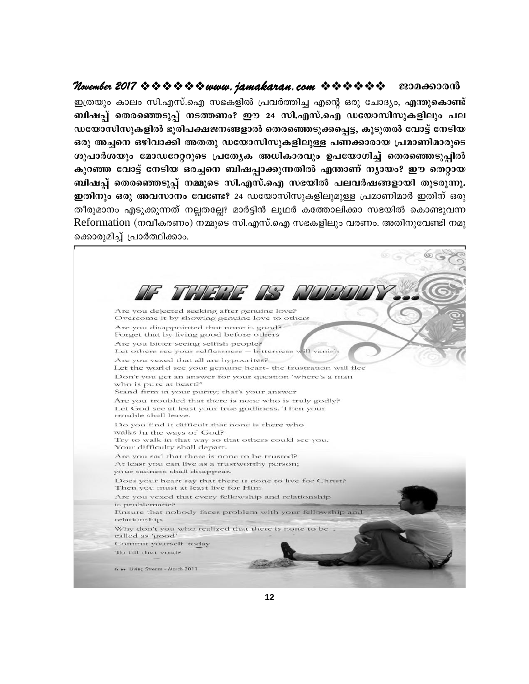November 2017  $\Leftrightarrow$   $\Leftrightarrow$   $\Leftrightarrow$   $\Leftrightarrow$   $\Leftrightarrow$  wuvu.  $j$ amakaran.com  $\ \Leftrightarrow$   $\Leftrightarrow$   $\Leftrightarrow$   $\Leftrightarrow$   $\Leftrightarrow$   $\Leftrightarrow$ ജാമക്കാരൻ ഇത്രയും കാലം സി.എസ്.ഐ സഭകളിൽ പ്രവർത്തിച്ച എന്റെ ഒരു ചോദ്യം, എന്തുകൊണ്ട് ബിഷപ്പ് തെരഞ്ഞെടുപ്പ് നടത്തണം? ഈ 24 സി.എസ്.ഐ ഡയോസിസുകളിലും പല ഡയോസിസുകളിൽ ഭൂരിപക്ഷജനങ്ങളാൽ തെരഞ്ഞെടുക്കപെട്ട, കൂടുതൽ വോട്ട് നേടിയ ഒരു അച്ചനെ ഒഴിവാക്കി അതതു ഡയോസിസുകളിലുള്ള പണക്കാരായ പ്രമാണിമാരുടെ ശുപാർശയും മോഡറേറ്ററുടെ പ്രത്യേക അധികാരവും ഉപയോഗിച്ച് തെരഞ്ഞെടുപ്പിൽ കുറഞ്ഞ വോട്ട് നേടിയ ഒരച്ചനെ ബിഷപ്പാക്കുന്നതിൽ എന്താണ് ന്യായം? ഈ തെറ്റായ ബിഷപ്പ് തെരഞ്ഞെടുപ്പ് നമ്മുടെ സി.എസ്.ഐ സഭയിൽ പലവർഷങ്ങളായി തുടരുന്നു. ഇതിനും ഒരു അവസാനം വേണ്ടേ? 24 ഡയോസിസുകളിലുമുള്ള പ്രമാണിമാർ ഇതിന് ഒരു തീരുമാനം എടുക്കുന്നത് നല്ലതല്ലേ? മാർട്ടിൻ ലൂഥർ കത്തോലിക്കാ സഭയിൽ കൊണ്ടുവന്ന Reformation (നവീകരണം) നമ്മുടെ സി.എസ്.ഐ സഭകളിലും വരണം. അതിനുവേണ്ടി നമു ക്കൊരുമിച്ച് പ്രാർത്ഥിക്കാം.

Are you dejected seeking after genuine love? Overcome it by showing genuine love to others Are you disappointed that none is good? Forget that by living good before others Are you bitter seeing selfish people? Let others see your selflessness - bitterness will vanish Are you vexed that all are hypocrites? Let the world see your genuine heart- the frustration will flee Don't you get an answer for your question 'where's a man who is pure at heart?' Stand firm in your purity; that's your answer Are you troubled that there is none who is truly godly? Let God see at least your true godliness. Then your trouble shall leave. Do you find it difficult that none is there who walks in the ways of God? Try to walk in that way so that others could see you. Your difficulty shall depart. Are you sad that there is none to be trusted? At least you can live as a trustworthy person; your sadness shall disappear. Does your heart say that there is none to live for Christ? Then you must at least live for Him Are you vexed that every fellowship and relationship is problematic? Ensure that nobody faces problem with your fellowship and relationship. Why don't you who realized that there is none to be . called as 'good' Commit yourself today To fill that void? 6 Met Living Stream - March 2011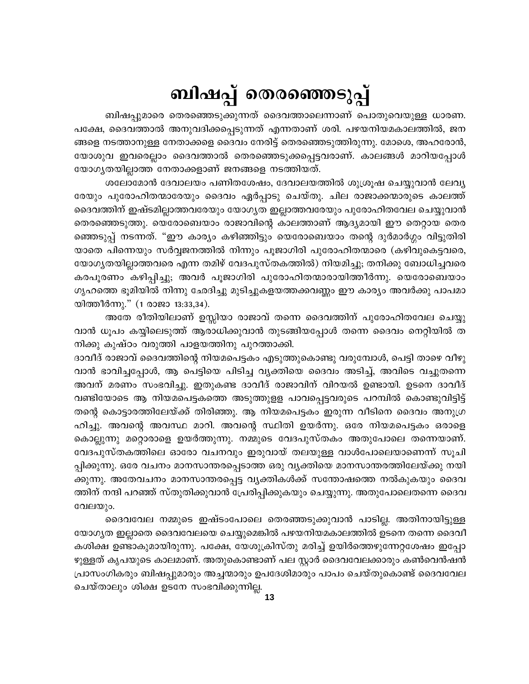# ബിഷപ്പ് തെരഞ്ഞെടുപ്പ്

ബിഷപ്പുമാരെ തെരഞ്ഞെടുക്കുന്നത് ദൈവത്താലെന്നാണ് പൊതുവെയുള്ള ധാരണ. പക്ഷേ, ദൈവത്താൽ അനുവദിക്കപ്പെടുന്നത് എന്നതാണ് ശരി. പഴയനിയമകാലത്തിൽ, ജന ങ്ങളെ നടത്താനുള്ള നേതാക്കളെ ദൈവം നേരിട്ട് തെരഞ്ഞെടുത്തിരുന്നു. മോശെ, അഹരോൻ, യോശുവ ഇവരെല്ലാം ദൈവത്താൽ തെരഞ്ഞെടുക്കപ്പെട്ടവരാണ്. കാലങ്ങൾ മാറിയപ്പോൾ യോഗ്യതയില്ലാത്ത നേതാക്കളാണ് ജനങ്ങളെ നടത്തിയത്.

ശലോമോൻ ദേവാലയം പണിതശേഷം, ദേവാലയത്തിൽ ശുശ്രൂഷ ചെയ്യുവാൻ ലേവ്യ രേയും പുരോഹിതന്മാരേയും ദൈവം ഏർപ്പാടു ചെയ്തു. ചില രാജാക്കന്മാരുടെ കാലത്ത് ദൈവത്തിന് ഇഷ്ടമില്ലാത്തവരേയും യോഗൃത ഇല്ലാത്തവരേയും പുരോഹിതവേല ചെയ്യുവാൻ തെരഞ്ഞെടുത്തു. യെരോബെയാം രാജാവിന്റെ കാലത്താണ് ആദ്യമായി ഈ തെറ്റായ തെര ഞ്ഞെടുപ്പ് നടന്നത്. "ഈ കാര്യം കഴിഞ്ഞിട്ടും യെരോബെയാം തന്റെ ദുർമാർഗ്ഗം വിട്ടുതിരി യാതെ പിന്നെയും സർവ്വജനത്തിൽ നിന്നും പൂജാഗിരി പുരോഹിതന്മാരെ (കഴിവുകെട്ടവരെ, യോഗ്യതയില്ലാത്തവരെ എന്ന തമിഴ് വേദപുസ്തകത്തിൽ) നിയമിച്ചു; തനിക്കു ബോധിച്ചവരെ കരപൂരണം കഴിപ്പിച്ചു; അവർ പൂജാഗിരി പുരോഹിതന്മാരായിത്തീർന്നു. യെരോബെയാം ഗൃഹത്തെ ഭൂമിയിൽ നിന്നു ഛേദിച്ചു മുടിച്ചുകളയത്തക്കവണ്ണം ഈ കാര്യം അവർക്കു പാപമാ യിത്തീർന്നു." (1 രാജാ 13:33,34).

അതേ രീതിയിലാണ് ഉസ്സിയാ രാജാവ് തന്നെ ദൈവത്തിന് പുരോഹിതവേല ചെയ്യു വാൻ ധൂപം കയ്യിലെടുത്ത് ആരാധിക്കുവാൻ തുടങ്ങിയപ്പോൾ തന്നെ ദൈവം നെറ്റിയിൽ ത നിക്കു കുഷ്ഠം വരുത്തി പാളയത്തിനു പുറത്താക്കി.

ദാവീദ് രാജാവ് ദൈവത്തിന്റെ നിയമപെട്ടകം എടുത്തുകൊണ്ടു വരുമ്പോൾ, പെട്ടി താഴെ വീഴു വാൻ ഭാവിച്ചപ്പോൾ, ആ പെട്ടിയെ പിടിച്ച വ്യക്തിയെ ദൈവം അടിച്ച്, അവിടെ വച്ചുതന്നെ അവന് മരണം സംഭവിച്ചു. ഇതുകണ്ട ദാവീദ് രാജാവിന് വിറയൽ ഉണ്ടായി. ഉടനെ ദാവീദ് വണ്ടിയോടെ ആ നിയമപെട്ടകത്തെ അടുത്തുളള പാവപ്പെട്ടവരുടെ പറമ്പിൽ കൊണ്ടുവിട്ടിട്ട് തന്റെ കൊട്ടാരത്തിലേയ്ക്ക് തിരിഞ്ഞു. ആ നിയമപെട്ടകം ഇരുന്ന വീടിനെ ദൈവം അനുഗ്ര ഹിച്ചു. അവന്റെ അവസ്ഥ മാറി. അവന്റെ സ്ഥിതി ഉയർന്നു. ഒരേ നിയമപെട്ടകം ഒരാളെ കൊല്ലുന്നു മറ്റൊരാളെ ഉയർത്തുന്നു. നമ്മുടെ വേദപുസ്തകം അതുപോലെ തന്നെയാണ്. വേദപുസ്തകത്തിലെ ഓരോ വചനവും ഇരുവായ് തലയുള്ള വാൾപോലെയാണെന്ന് സൂചി പ്പിക്കുന്നു. ഒരേ വചനം മാനസാന്തരപ്പെടാത്ത ഒരു വൃക്തിയെ മാനസാന്തരത്തിലേയ്ക്കു നയി ക്കുന്നു. അതേവചനം മാനസാന്തരപ്പെട്ട വൃക്തികൾക്ക് സന്തോഷത്തെ നൽകുകയും ദൈവ ത്തിന് നന്ദി പറഞ്ഞ് സ്തുതിക്കുവാൻ പ്രേരിപ്പിക്കുകയും ചെയ്യുന്നു. അതുപോലെതന്നെ ദൈവ വേലയും.

ദൈവവേല നമ്മുടെ ഇഷ്ടംപോലെ തെരഞ്ഞടുക്കുവാൻ പാടില്ല. അതിനായിട്ടുള്ള യോഗ്യത ഇല്ലാതെ ദൈവവേലയെ ചെയ്യുമെങ്കിൽ പഴയനിയമകാലത്തിൽ ഉടനെ തന്നെ ദൈവീ കശിക്ഷ ഉണ്ടാകുമായിരുന്നു. പക്ഷേ, യേശുക്രിസ്തു മരിച്ച് ഉയിർത്തെഴുന്നേറ്റശേഷം ഇപ്പോ ഴുള്ളത് കൃപയുടെ കാലമാണ്. അതുകൊണ്ടാണ് പല സ്റ്റാർ ദൈവവേലക്കാരും കൺവെൻഷൻ പ്രാസംഗികരും ബിഷപ്പുമാരും അച്ചന്മാരും ഉപദേശിമാരും പാപം ചെയ്തുകൊണ്ട് ദൈവവേല ചെയ്താലും ശിക്ഷ ഉടനേ സംഭവിക്കുന്നില്ല.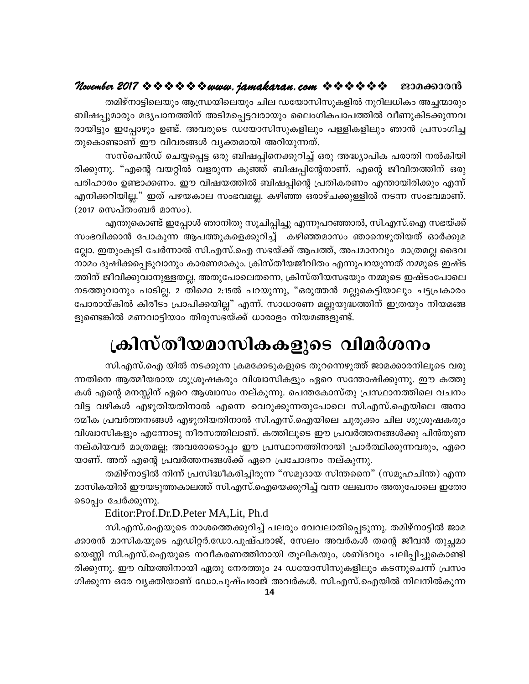### ജാമക്കാരൻ

തമിഴ്നാട്ടിലെയും ആന്ധ്രയിലെയും ചില ഡയോസിസുകളിൽ നൂറിലധികം അച്ചന്മാരും ബിഷപ്പുമാരും മദ്യപാനത്തിന് അടിമപ്പെട്ടവരായും ലൈംഗികപാപത്തിൽ വീണുകിടക്കുന്നവ രായിട്ടും ഇപ്പോഴും ഉണ്ട്. അവരുടെ ഡയോസിസുകളിലും പള്ളികളിലും ഞാൻ പ്രസംഗിച്ച തുകൊണ്ടാണ് ഈ വിവരങ്ങൾ വ്യക്തമായി അറിയുന്നത്.

സസ്പെൻഡ് ചെയ്യപ്പെട്ട ഒരു ബിഷപ്പിനെക്കുറിച്ച് ഒരു അദ്ധ്യാപിക പരാതി നൽകിയി രിക്കുന്നു. "എന്റെ വയറ്റിൽ വളരുന്ന കുഞ്ഞ് ബിഷപ്പിന്റേതാണ്. എന്റെ ജീവിതത്തിന് ഒരു പരിഹാരം ഉണ്ടാക്കണം. ഈ വിഷയത്തിൽ ബിഷപ്പിന്റെ പ്രതികരണം എന്തായിരിക്കും എന്ന് എനിക്കറിയില്ല." ഇത് പഴയകാല സംഭവമല്ല. കഴിഞ്ഞ ഒരാഴ്ചക്കുള്ളിൽ നടന്ന സംഭവമാണ്. (2017 സെപ്തംബർ മാസം).

എന്തുകൊണ്ട് ഇപ്പോൾ ഞാനിതു സൂചിപ്പിച്ചു എന്നുപറഞ്ഞാൽ, സി.എസ്.ഐ സഭയ്ക്ക് സംഭവിക്കാൻ പോകുന്ന ആപത്തുകളെക്കുറിച്ച് കഴിഞ്ഞമാസം ഞാനെഴുതിയത് ഓർക്കുമ ല്ലോ. ഇതുംകൂടി ചേർന്നാൽ സി.എസ്.ഐ സഭയ്ക്ക് ആപത്ത്, അപമാനവും മാത്രമല്ല ദൈവ നാമം ദുഷിക്കപ്പെടുവാനും കാരണമാകും. ക്രിസ്തീയജീവിതം എന്നുപറയുന്നത് നമ്മുടെ ഇഷ്ട ത്തിന് ജീവിക്കുവാനുള്ളതല്ല, അതുപോലെതന്നെ, ക്രിസ്തീയസഭയും നമ്മുടെ ഇഷ്ടംപോലെ നടത്തുവാനും പാടില്ല. 2 തിമൊ 2:15ൽ പറയുന്നു, "ഒരുത്തൻ മല്ലുകെട്ടിയാലും ചട്ടപ്രകാരം പോരായ്കിൽ കിരീടം പ്രാപിക്കയില്ല" എന്ന്. സാധാരണ മല്ലുയുദ്ധത്തിന് ഇത്രയും നിയമങ്ങ ളുണ്ടെങ്കിൽ മണവാട്ടിയാം തിരുസഭയ്ക്ക് ധാരാളം നിയമങ്ങളുണ്ട്.

# ക്രിസ്തീയമാസികകളുടെ വിമർശനം

സി.എസ്.ഐ യിൽ നടക്കുന്ന ക്രമക്കേടുകളുടെ തുറന്നെഴുത്ത് ജാമക്കാരനിലൂടെ വരു ന്നതിനെ ആത്മീയരായ ശുശ്രൂഷകരും വിശ്വാസികളും ഏറെ സന്തോഷിക്കുന്നു. ഈ കത്തു കൾ എന്റെ മനസ്സിന് ഏറെ ആശ്വാസം നല്കുന്നു. പെന്തകോസ്തു പ്രസ്ഥാനത്തിലെ വചനം വിട്ട വഴികൾ എഴുതിയതിനാൽ എന്നെ വെറുക്കുന്നതുപോലെ സി.എസ്.ഐയിലെ അനാ ത്മീക പ്രവർത്തനങ്ങൾ എഴുതിയതിനാൽ സി.എസ്.ഐയിലെ ചുരുക്കം ചില ശുശ്രൂഷകരും വിശ്വാസികളും എന്നോടു നീരസത്തിലാണ്. കത്തിലൂടെ ഈ പ്രവർത്തനങ്ങൾക്കു പിൻതുണ നല്കിയവർ മാത്രമല്ല; അവരോടൊപ്പം ഈ പ്രസ്ഥാനത്തിനായി പ്രാർത്ഥിക്കുന്നവരും, ഏറെ യാണ്. അത് എന്റെ പ്രവർത്തനങ്ങൾക്ക് ഏറെ പ്രചോദനം നല്കുന്നു.

തമിഴ്നാട്ടിൽ നിന്ന് പ്രസിദ്ധീകരിച്ചിരുന്ന "സമുദായ സിന്തനൈ" (സമൂഹചിന്ത) എന്ന മാസികയിൽ ഈയടുത്തകാലത്ത് സി.എസ്.ഐയെക്കുറിച്ച് വന്ന ലേഖനം അതുപോലെ ഇതോ ടൊപ്പം ചേർക്കുന്നു.

### Editor:Prof.Dr.D.Peter MA, Lit, Ph.d

സി.എസ്.ഐയുടെ നാശത്തെക്കുറിച്ച് പലരും വേവലാതിപ്പെടുന്നു. തമിഴ്നാട്ടിൽ ജാമ ക്കാരൻ മാസികയുടെ എഡിറ്റർ.ഡോ.പുഷ്പരാജ്, സേലം അവർകൾ തന്റെ ജീവൻ തുച്ഛമാ യെണ്ണി സി.എസ്.ഐയുടെ നവീകരണത്തിനായി തൂലികയും, ശബ്ദവും ചലിപ്പിച്ചുകൊണ്ടി രിക്കുന്നു. ഈ വിയത്തിനായി ഏതു നേരത്തും 24 ഡയോസിസുകളിലും കടന്നുചെന്ന് പ്രസം ഗിക്കുന്ന ഒരേ വൃക്തിയാണ് ഡോ.പുഷ്പരാജ് അവർകൾ. സി.എസ്.ഐയിൽ നിലനിൽകുന്ന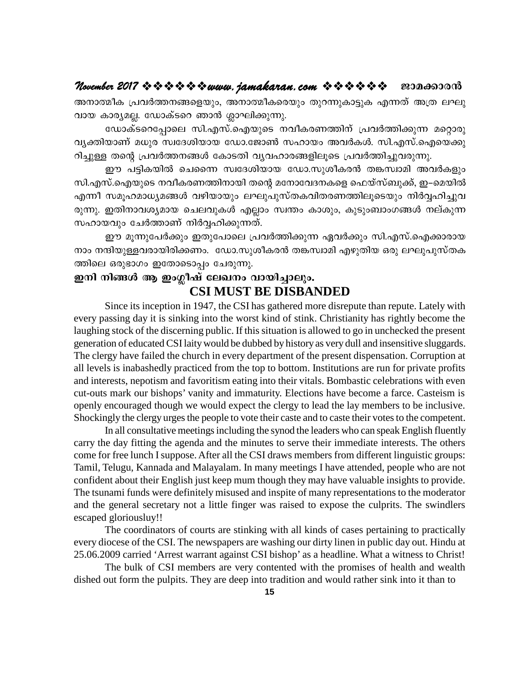### November 2017 \* \* \* \* \* \* \* www. jamakaran.com \* \* \* \* \* \* \* ജാമക്കാരൻ

അനാത്മീക പ്രവർത്തനങ്ങളെയും, അനാത്മീകരെയും തുറന്നുകാട്ടുക എന്നത് അത്ര ലഘു വായ കാര്യമല്ല. ഡോക്ടറെ ഞാൻ ശ്ലാഘിക്കുന്നു.

ഡോക്ടറെപ്പോലെ സി.എസ്.ഐയുടെ നവീകരണത്തിന് പ്രവർത്തിക്കുന്ന മറ്റൊരു വ്യക്തിയാണ് മധുര സ്വദേശിയായ ഡോ.ജോൺ സഹായം അവർകൾ. സി.എസ്.ഐയെക്കു റിച്ചുള്ള തന്റെ പ്രവർത്തനങ്ങൾ കോടതി വ്യവഹാരങ്ങളിലൂടെ പ്രവർത്തിച്ചുവരുന്നു.

ഈ പട്ടികയിൽ ചെന്നൈ സ്വദേശിയായ ഡോ.സുശീകരൻ തങ്കസ്വാമി അവർകളും സി.എസ്.ഐയുടെ നവീകരണത്തിനായി തന്റെ മനോവേദനകളെ ഫെയ്സ്ബുക്ക്, ഇ–മെയിൽ എന്നീ സമൂഹമാധ്യമങ്ങൾ വഴിയായും ലഘുപുസ്തകവിതരണത്തിലൂടെയും നിർവ്വഹിച്ചുവ രുന്നു. ഇതിനാവശ്യമായ ചെലവുകൾ എല്ലാം സ്വന്തം കാശും, കൂടുംബാംഗങ്ങൾ നല്കുന്ന സഹായവും ചേർത്താണ് നിർവ്വഹിക്കുന്നത്.

ഈ മൂന്നുപേർക്കും ഇതുപോലെ പ്രവർത്തിക്കുന്ന ഏവർക്കും സി.എസ്.ഐക്കാരായ നാം നന്ദിയുള്ളവരായിരിക്കണം. ഡോ.സുശീകരൻ തങ്കസ്വാമി എഴുതിയ ഒരു ലഘുപുസ്തക ത്തിലെ ഒരുഭാഗം ഇതോടൊപ്പം ചേരുന്നു.

# ഇനി നിങ്ങൾ ആ ഇംഗ്ലീഷ് ലേഖനം വായിച്ചാലും. **CSI MUST BE DISBANDED**

Since its inception in 1947, the CSI has gathered more disrepute than repute. Lately with every passing day it is sinking into the worst kind of stink. Christianity has rightly become the laughing stock of the discerning public. If this situation is allowed to go in unchecked the present generation of educated CSI laity would be dubbed by history as very dull and insensitive sluggards. The clergy have failed the church in every department of the present dispensation. Corruption at all levels is inabashedly practiced from the top to bottom. Institutions are run for private profits and interests, nepotism and favoritism eating into their vitals. Bombastic celebrations with even cut-outs mark our bishops' vanity and immaturity. Elections have become a farce. Casteism is openly encouraged though we would expect the clergy to lead the lay members to be inclusive. Shockingly the clergy urges the people to vote their caste and to caste their votes to the competent.

In all consultative meetings including the synod the leaders who can speak English fluently carry the day fitting the agenda and the minutes to serve their immediate interests. The others come for free lunch I suppose. After all the CSI draws members from different linguistic groups: Tamil, Telugu, Kannada and Malayalam. In many meetings I have attended, people who are not confident about their English just keep mum though they may have valuable insights to provide. The tsunami funds were definitely misused and inspite of many representations to the moderator and the general secretary not a little finger was raised to expose the culprits. The swindlers escaped gloriousluy!!

The coordinators of courts are stinking with all kinds of cases pertaining to practically every diocese of the CSI. The newspapers are washing our dirty linen in public day out. Hindu at 25.06.2009 carried 'Arrest warrant against CSI bishop' as a headline. What a witness to Christ!

The bulk of CSI members are very contented with the promises of health and wealth dished out form the pulpits. They are deep into tradition and would rather sink into it than to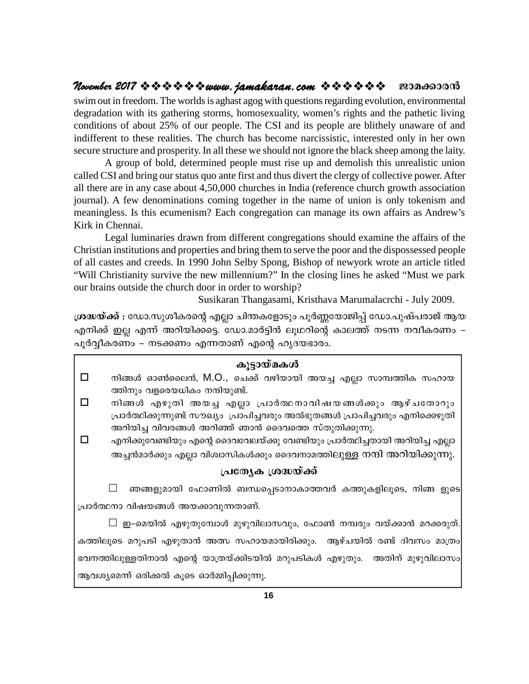# **November 2017**  $\rightsquigarrow \rightsquigarrow \rightsquigarrow \rightsquigarrow \rightsquigarrow www. jamakaran.com \rightsquigarrow \rightsquigarrow \rightsquigarrow \rightsquigarrow \rightsquigarrow \rightsquigarrow \rightsquigarrow \dots$

swim out in freedom. The worlds is aghast agog with questions regarding evolution, environmental degradation with its gathering storms, homosexuality, women's rights and the pathetic living conditions of about 25% of our people. The CSI and its people are blithely unaware of and indifferent to these realities. The church has become narcissistic, interested only in her own secure structure and prosperity. In all these we should not ignore the black sheep among the laity.

A group of bold, determined people must rise up and demolish this unrealistic union called CSI and bring our status quo ante first and thus divert the clergy of collective power. After all there are in any case about 4,50,000 churches in India (reference church growth association journal). A few denominations coming together in the name of union is only tokenism and meaningless. Is this ecumenism? Each congregation can manage its own affairs as Andrew's Kirk in Chennai.

Legal luminaries drawn from different congregations should examine the affairs of the Christian institutions and properties and bring them to serve the poor and the dispossessed people of all castes and creeds. In 1990 John Selby Spong, Bishop of newyork wrote an article titled "Will Christianity survive the new millennium?" In the closing lines he asked "Must we park our brains outside the church door in order to worship?

Susikaran Thangasami, Kristhava Marumalacrchi - July 2009.

of all castes and creeds. In 1990 John Selby Spong, Bishop of newyork wrote an article titled<br>"Will Christianity survive the new millennium?" In the closing lines he asked "Must we park<br>our brains outside the church door "Will Christianity survive the new millennium?" In the closing lines he asked "Must we park<br>our brains outside the church door in order to worship?<br>Susikaran Thangasami, Kristhava Marumalacrchi - July 2009.<br>ശ്രദ്ധയ്ക്ക് : our brains outside the church door in order to worship?<br>
Susikaran Thangasami, Kristhava Marumalacrch<br>രാധയ്ക്ക് : ഡോ.സുശീകരന്റെ എല്ലാ ചിന്തകളോടും പൂർണ്ണയോജിപ്പ് ഡോ.പ<br>എനിക്ക് ഇല്ല എന്ന് അറിയിക്കട്ടെ. ഡോ.മാർട്ടിൻ ലൂഥറിന്റെ പൂർവ്വീകരണം – നടക്കണം എന്നതാണ് എന്റെ ഹൃദയഭാരം.

|                                              | കുട്ടായ്മകൾ                                                                        |
|----------------------------------------------|------------------------------------------------------------------------------------|
| $\Box$                                       | നിങ്ങൾ ഓൺലൈൻ, M.O., ചെക്ക് വഴിയായി അയച്ച എല്ലാ സാമ്പത്തിക സഹായ                     |
|                                              | ത്തിനും വളരെയധികം നന്ദിയുണ്ട്.                                                     |
| $\Box$                                       | നിങ്ങൾ എഴുതി അയച്ച എല്ലാ പ്രാർത്ഥനാവിഷയങ്ങൾക്കും ആഴ്ചതോറും                         |
| $\Box$                                       | പ്രാർത്ഥിക്കുന്നുണ്ട് സൗഖ്യം  പ്രാപിച്ചവരും അൽഭുതങ്ങൾ പ്രാപിച്ചവരും എനിക്കെഴുതി    |
|                                              | അറിയിച്ച വിവരങ്ങൾ അറിഞ്ഞ് ഞാൻ ദൈവത്തെ സ്തുതിക്കുന്നു.                              |
|                                              | എനിക്കുവേണ്ടിയും എന്റെ ദൈവവേലയ്ക്കു വേണ്ടിയും പ്രാർത്ഥിച്ചതായി അറിയിച്ച എല്ലാ      |
|                                              | അച്ചൻമാർക്കും എല്ലാ വിശ്വാസികൾക്കും ദൈവനാമത്തിലുള്ള നന്ദി അറിയിക്കുന്നു.           |
|                                              | പ്രത്യേക ശ്രദ്ധയ്ക്ക്                                                              |
|                                              | ഞങ്ങളുമായി ഫോണിൽ ബന്ധപ്പെടാനാകാത്തവർ കത്തുകളിലൂടെ, നിങ്ങ ളുടെ                      |
| പ്രാർത്ഥനാ വിഷയങ്ങൾ അയക്കാവുന്നതാണ്.         |                                                                                    |
|                                              | $\Box$ ഇ–മെയിൽ എഴുതുമ്പോൾ മുഴുവിലാസവും, ഫോൺ നമ്പരും വയ്ക്കാൻ മറക്കരുത്.            |
|                                              | കത്തിലൂടെ മറുപടി എഴുതാൻ അത്സ സഹായമായിരിക്കും.  ആഴ്ചയിൽ രണ്ട് ദിവസം മാത്രം          |
|                                              | ഭവനത്തിലുള്ളതിനാൽ എന്റെ യാത്രയ്ക്കിടയിൽ മറുപടികൾ എഴുതും.  അതിന് മുഴുവിലാസം $\vert$ |
| ആവശ്യമെന്ന് ഒരിക്കൽ കൂടെ ഓർമ്മിപ്പിക്കുന്നു. |                                                                                    |
|                                              |                                                                                    |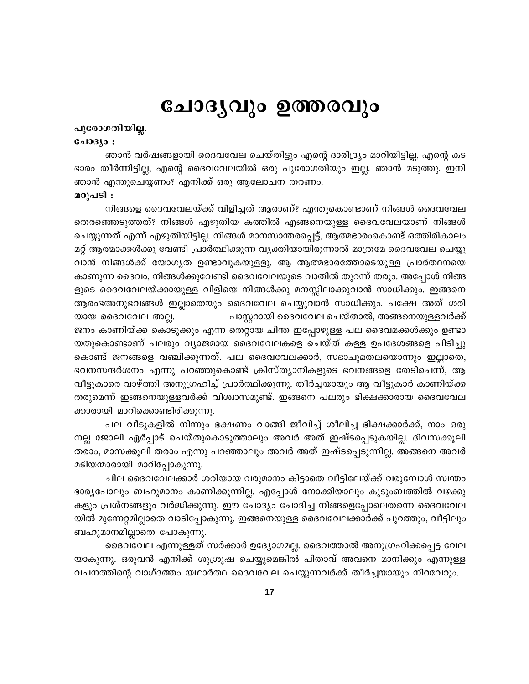# ചോദൃവും ഉത്തരവും

### പുരോഗതിയില്ല.

### ചോദ്യം :

ഞാൻ വർഷങ്ങളായി ദൈവവേല ചെയ്തിട്ടും എന്റെ ദാരിദ്ര്യം മാറിയിട്ടില്ല, എന്റെ കട ഭാരം തീർന്നിട്ടില്ല, എന്റെ ദൈവവേലയിൽ ഒരു പുരോഗതിയും ഇല്ല. ഞാൻ മടുത്തു. ഇനി ഞാൻ എന്തുചെയ്യണം? എനിക്ക് ഒരു ആലോചന തരണം.

### മറുപടി :

നിങ്ങളെ ദൈവവേലയ്ക്ക് വിളിച്ചത് ആരാണ്? എന്തുകൊണ്ടാണ് നിങ്ങൾ ദൈവവേല തെരഞ്ഞെടുത്തത്? നിങ്ങൾ എഴുതിയ കത്തിൽ എങ്ങനെയുള്ള ദൈവവേലയാണ് നിങ്ങൾ ചെയ്യുന്നത് എന്ന് എഴുതിയിട്ടില്ല. നിങ്ങൾ മാനസാന്തരപ്പെട്ട്, ആത്മഭാരംകൊണ്ട് ഒത്തിരികാലം മറ്റ് ആത്മാക്കൾക്കു വേണ്ടി പ്രാർത്ഥിക്കുന്ന വ്യക്തിയായിരുന്നാൽ മാത്രമേ ദൈവവേല ചെയ്യു വാൻ നിങ്ങൾക്ക് യോഗൃത ഉണ്ടാവുകയുളളു. ആ ആത്മഭാരത്തോടെയുള്ള പ്രാർത്ഥനയെ കാണുന്ന ദൈവം, നിങ്ങൾക്കുവേണ്ടി ദൈവവേലയുടെ വാതിൽ തുറന്ന് തരും. അപ്പോൾ നിങ്ങ ളുടെ ദൈവവേലയ്ക്കായുള്ള വിളിയെ നിങ്ങൾക്കു മനസ്സിലാക്കുവാൻ സാധിക്കും. ഇങ്ങനെ ആരംഭഅനുഭവങ്ങൾ ഇല്ലാതെയും ദൈവവേല ചെയ്യുവാൻ സാധിക്കും. പക്ഷേ അത് ശരി യായ ദൈവവേല അല്ല. പാസ്റ്ററായി ദൈവവേല ചെയ്താൽ, അങ്ങനെയുള്ളവർക്ക് ജനം കാണിയ്ക്ക കൊടുക്കും എന്ന തെറ്റായ ചിന്ത ഇപ്പോഴുള്ള പല ദൈവമക്കൾക്കും ഉണ്ടാ യതുകൊണ്ടാണ് പലരും വ്യാജമായ ദൈവവേലകളെ ചെയ്ത് കള്ള ഉപദേശങ്ങളെ പിടിച്ചു കൊണ്ട് ജനങ്ങളെ വഞ്ചിക്കുന്നത്. പല ദൈവവേലക്കാർ, സഭാചുമതലയൊന്നും ഇല്ലാതെ, ഭവനസന്ദർശനം എന്നു പറഞ്ഞുകൊണ്ട് ക്രിസ്ത്യാനികളുടെ ഭവനങ്ങളെ തേടിചെന്ന്, ആ വീട്ടുകാരെ വാഴ്ത്തി അനുഗ്രഹിച്ച് പ്രാർത്ഥിക്കുന്നു. തീർച്ചയായും ആ വീട്ടുകാർ കാണിയ്ക്ക തരുമെന്ന് ഇങ്ങനെയുള്ളവർക്ക് വിശ്വാസമുണ്ട്. ഇങ്ങനെ പലരും ഭിക്ഷക്കാരായ ദൈവവേല ക്കാരായി മാറിക്കൊണ്ടിരിക്കുന്നു.

പല വീടുകളിൽ നിന്നും ഭക്ഷണം വാങ്ങി ജീവിച്ച് ശീലിച്ച ഭിക്ഷക്കാർക്ക്, നാം ഒരു നല്ല ജോലി ഏർപ്പാട് ചെയ്തുകൊടുത്താലും അവർ അത് ഇഷ്ടപ്പെടുകയില്ല. ദിവസക്കൂലി തരാം, മാസക്കൂലി തരാം എന്നു പറഞ്ഞാലും അവർ അത് ഇഷ്ടപ്പെടുന്നില്ല. അങ്ങനെ അവർ മടിയന്മാരായി മാറിപ്പോകുന്നു.

ചില ദൈവവേലക്കാർ ശരിയായ വരുമാനം കിട്ടാതെ വീട്ടിലേയ്ക്ക് വരുമ്പോൾ സ്വന്തം ഭാര്യപോലും ബഹുമാനം കാണിക്കുന്നില്ല. എപ്പോൾ നോക്കിയാലും കുടുംബത്തിൽ വഴക്കു കളും പ്രശ്നങ്ങളും വർദ്ധിക്കുന്നു. ഈ ചോദ്യം ചോദിച്ച നിങ്ങളെപ്പോലെതന്നെ ദൈവവേല യിൽ മുന്നേറ്റമില്ലാതെ വാടിപ്പോകുന്നു. ഇങ്ങനെയുള്ള ദൈവവേലക്കാർക്ക് പുറത്തും, വീട്ടിലും ബഹുമാനമില്ലാതെ പോകുന്നു.

ദൈവവേല എന്നുള്ളത് സർക്കാർ ഉദ്യോഗമല്ല. ദൈവത്താൽ അനുഗ്രഹിക്കപ്പെട്ട വേല യാകുന്നു. ഒരുവൻ എനിക്ക് ശുശ്രൂഷ ചെയ്യുമെങ്കിൽ പിതാവ് അവനെ മാനിക്കും എന്നുള്ള വചനത്തിന്റെ വാഗ്ദത്തം യഥാർത്ഥ ദൈവവേല ചെയ്യുന്നവർക്ക് തീർച്ചയായും നിറവേറും.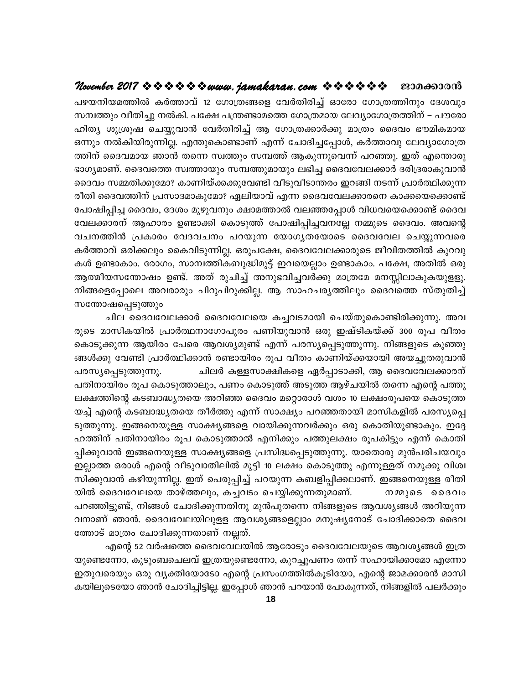### ജാമക്കാരൻ

പഴയനിയമത്തിൽ കർത്താവ് 12 ഗോത്രങ്ങളെ വേർതിരിച്ച് ഓരോ ഗോത്രത്തിനും ദേശവും സമ്പത്തും വീതിച്ചു നൽകി. പക്ഷേ പന്ത്രണ്ടാമത്തെ ഗോത്രമായ ലേവ്യാഗോത്രത്തിന് – പൗരോ ഹിത്യ ശുശ്രൂഷ ചെയ്യുവാൻ വേർതിരിച്ച് ആ ഗോത്രക്കാർക്കു മാത്രം ദൈവം ഭൗമികമായ ഒന്നും നൽകിയിരുന്നില്ല. എന്തുകൊണ്ടാണ് എന്ന് ചോദിച്ചപ്പോൾ, കർത്താവു ലേവ്യാഗോത്ര ത്തിന് ദൈവമായ ഞാൻ തന്നെ സ്വത്തും സമ്പത്ത് ആകുന്നുവെന്ന് പറഞ്ഞു. ഇത് എന്തൊരു ഭാഗ്യമാണ്. ദൈവത്തെ സ്വത്തായും സമ്പത്തുമായും ലഭിച്ച ദൈവവേലക്കാർ ദരിദ്രരാകുവാൻ ദൈവം സമ്മതിക്കുമോ? കാണിയ്ക്കക്കുവേണ്ടി വീടുവീടാന്തരം ഇറങ്ങി നടന്ന് പ്രാർത്ഥിക്കുന്ന രീതി ദൈവത്തിന് പ്രസാദമാകുമോ? ഏലിയാവ് എന്ന ദൈവവേലക്കാരനെ കാക്കയെക്കൊണ്ട് പോഷിപ്പിച്ച ദൈവം, ദേശം മുഴുവനും ക്ഷാമത്താൽ വലഞ്ഞപ്പോൾ വിധവയെക്കൊണ്ട് ദൈവ വേലക്കാരന് ആഹാരം ഉണ്ടാക്കി കൊടുത്ത് പോഷിപ്പിച്ചവനല്ലേ നമ്മുടെ ദൈവം. അവന്റെ വചനത്തിൻ പ്രകാരം വേദവചനം പറയുന്ന യോഗൃതയോടെ ദൈവവേല ചെയ്യുന്നവരെ കർത്താവ് ഒരിക്കലും കൈവിടുന്നില്ല. ഒരുപക്ഷേ, ദൈവവേലക്കാരുടെ ജീവിതത്തിൽ കുറവു കൾ ഉണ്ടാകാം. രോഗം, സാമ്പത്തികബുദ്ധിമുട്ട് ഇവയെല്ലാം ഉണ്ടാകാം. പക്ഷേ, അതിൽ ഒരു ആത്മീയസന്തോഷം ഉണ്ട്. അത് രുചിച്ച് അനുഭവിച്ചവർക്കു മാത്രമേ മനസ്സിലാകുകയുളളു. നിങ്ങളെപ്പോലെ അവരാരും പിറുപിറുക്കില്ല. ആ സാഹചര്യത്തിലും ദൈവത്തെ സ്തുതിച്ച് സന്തോഷപ്പെടുത്തും

ചില ദൈവവേലക്കാർ ദൈവവേലയെ കച്ചവടമായി ചെയ്തുകൊണ്ടിരിക്കുന്നു. അവ രുടെ മാസികയിൽ പ്രാർത്ഥനാഗോപുരം പണിയുവാൻ ഒരു ഇഷ്ടികയ്ക്ക് 300 രൂപ വീതം കൊടുക്കുന്ന ആയിരം പേരെ ആവശ്യമുണ്ട് എന്ന് പരസ്യപ്പെടുത്തുന്നു. നിങ്ങളുടെ കുഞ്ഞു ങ്ങൾക്കു വേണ്ടി പ്രാർത്ഥിക്കാൻ രണ്ടായിരം രൂപ വീതം കാണിയ്ക്കയായി അയച്ചുതരുവാൻ ചിലർ കള്ളസാക്ഷികളെ ഏർപ്പാടാക്കി, ആ ദൈവവേലക്കാരന് പരസ്യപ്പെടുത്തുന്നു. പതിനായിരം രൂപ കൊടുത്താലും, പണം കൊടുത്ത് അടുത്ത ആഴ്ചയിൽ തന്നെ എന്റെ പത്തു ലക്ഷത്തിന്റെ കടബാദ്ധ്യതയെ അറിഞ്ഞ ദൈവം മറ്റൊരാൾ വശം 10 ലക്ഷംരൂപയെ കൊടുത്ത യച്ച് എന്റെ കടബാദ്ധ്യതയെ തീർത്തു എന്ന് സാക്ഷ്യം പറഞ്ഞതായി മാസികളിൽ പരസ്യപ്പെ ടുത്തുന്നു. ഇങ്ങനെയുള്ള സാക്ഷ്യങ്ങളെ വായിക്കുന്നവർക്കും ഒരു കൊതിയുണ്ടാകും. ഇദ്ദേ ഹത്തിന് പതിനായിരം രൂപ കൊടുത്താൽ എനിക്കും പത്തുലക്ഷം രൂപകിട്ടും എന്ന് കൊതി പ്പിക്കുവാൻ ഇങ്ങനെയുള്ള സാക്ഷ്യങ്ങളെ പ്രസിദ്ധപ്പെടുത്തുന്നു. യാതൊരു മുൻപരിചയവും ഇല്ലാത്ത ഒരാൾ എന്റെ വീടുവാതിലിൽ മുട്ടി 10 ലക്ഷം കൊടുത്തു എന്നുള്ളത് നമുക്കു വിശ്വ സിക്കുവാൻ കഴിയുന്നില്ല. ഇത് പെരുപ്പിച്ച് പറയുന്ന കബളിപ്പിക്കലാണ്. ഇങ്ങനെയുള്ള രീതി യിൽ ദൈവവേലയെ താഴ്ത്തലും, കച്ചവടം ചെയ്യിക്കുന്നതുമാണ്. നമ്മുടെ ദൈവം പറഞ്ഞിട്ടുണ്ട്, നിങ്ങൾ ചോദിക്കുന്നതിനു മുൻപുതന്നെ നിങ്ങളുടെ ആവശ്യങ്ങൾ അറിയുന്ന വനാണ് ഞാൻ. ദൈവവേലയിലുളള ആവശ്യങ്ങളെല്ലാം മനുഷ്യനോട് ചോദിക്കാതെ ദൈവ ത്തോട് മാത്രം ചോദിക്കുന്നതാണ് നല്ലത്.

എന്റെ 52 വർഷത്തെ ദൈവവേലയിൽ ആരോടും ദൈവവേലയുടെ ആവശ്യങ്ങൾ ഇത്ര യുണ്ടെന്നോ, കുടുംബചെലവ് ഇത്രയുണ്ടെന്നോ, കുറച്ചുപണം തന്ന് സഹായിക്കാമോ എന്നോ ഇതുവരെയും ഒരു വൃക്തിയോടോ എന്റെ പ്രസംഗത്തിൽകൂടിയോ, എന്റെ ജാമക്കാരൻ മാസി കയിലൂടെയോ ഞാൻ ചോദിച്ചിട്ടില്ല. ഇപ്പോൾ ഞാൻ പറയാൻ പോകുന്നത്, നിങ്ങളിൽ പലർക്കും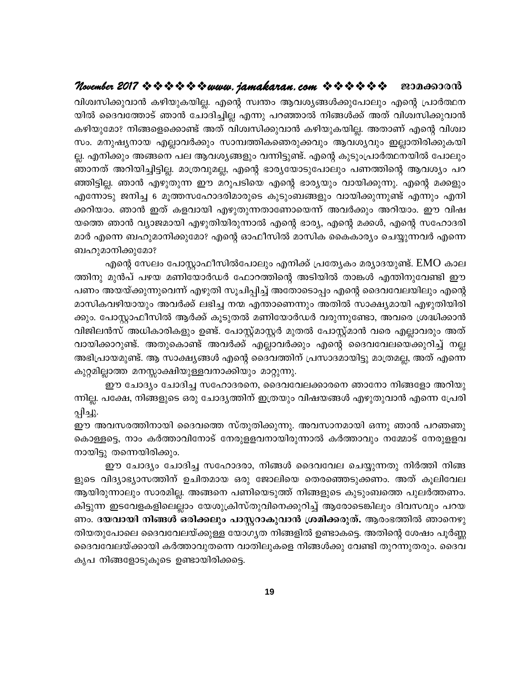### ജാമക്കാരൻ

വിശ്വസിക്കുവാൻ കഴിയുകയില്ല. എന്റെ സ്വന്തം ആവശ്യങ്ങൾക്കുപോലും എന്റെ പ്രാർത്ഥന യിൽ ദൈവത്തോട് ഞാൻ ചോദിച്ചില്ല എന്നു പറഞ്ഞാൽ നിങ്ങൾക്ക് അത് വിശ്വസിക്കുവാൻ കഴിയുമോ? നിങ്ങളെക്കൊണ്ട് അത് വിശ്വസിക്കുവാൻ കഴിയുകയില്ല. അതാണ് എന്റെ വിശ്വാ സം. മനുഷ്യനായ എല്ലാവർക്കും സാമ്പത്തികഞെരുക്കവും ആവശ്യവും ഇല്ലാതിരിക്കുകയി ല്ല. എനിക്കും അങ്ങനെ പല ആവശ്യങ്ങളും വന്നിട്ടുണ്ട്. എന്റെ കുടുംപ്രാർത്ഥനയിൽ പോലും ഞാനത് അറിയിച്ചിട്ടില്ല. മാത്രവുമല്ല, എന്റെ ഭാര്യയോടുപോലും പണത്തിന്റെ ആവശ്യം പറ ഞ്ഞിട്ടില്ല. ഞാൻ എഴുതുന്ന ഈ മറുപടിയെ എന്റെ ഭാര്യയും വായിക്കുന്നു. എന്റെ മക്കളും എന്നോടു ജനിച്ച 6 മൂത്തസഹോദരിമാരുടെ കുടുംബങ്ങളും വായിക്കുന്നുണ്ട് എന്നും എനി ക്കറിയാം. ഞാൻ ഇത് കളവായി എഴുതുന്നതാണോയെന്ന് അവർക്കും അറിയാം. ഈ വിഷ യത്തെ ഞാൻ വ്യാജമായി എഴുതിയിരുന്നാൽ എന്റെ ഭാര്യ, എന്റെ മക്കൾ, എന്റെ സഹോദരി മാർ എന്നെ ബഹുമാനിക്കുമോ? എന്റെ ഓഫീസിൽ മാസിക കൈകാര്യം ചെയ്യുന്നവർ എന്നെ ബഹുമാനിക്കുമോ?

എന്റെ സേലം പോസ്റ്റാഫീസിൽപോലും എനിക്ക് പ്രത്യേകം മര്യാദയുണ്ട്. EMO കാല ത്തിനു മുൻപ് പഴയ മണിയോർഡർ ഫോറത്തിന്റെ അടിയിൽ താങ്കൾ എന്തിനുവേണ്ടി ഈ പണം അയയ്ക്കുന്നുവെന്ന് എഴുതി സൂചിപ്പിച്ച് അതോടൊപ്പം എന്റെ ദൈവവേലയിലും എന്റെ മാസികവഴിയായും അവർക്ക് ലഭിച്ച നന്മ എന്താണെന്നും അതിൽ സാക്ഷ്യമായി എഴുതിയിരി ക്കും. പോസ്റ്റാഫീസിൽ ആർക്ക് കൂടുതൽ മണിയോർഡർ വരുന്നുണ്ടോ, അവരെ ശ്രദ്ധിക്കാൻ വിജിലൻസ് അധികാരികളും ഉണ്ട്. പോസ്റ്റ്മാസ്റ്റർ മുതൽ പോസ്റ്റ്മാൻ വരെ എല്ലാവരും അത് വായിക്കാറുണ്ട്. അതുകൊണ്ട് അവർക്ക് എല്ലാവർക്കും എന്റെ ദൈവവേലയെക്കുറിച്ച് നല്ല അഭിപ്രായമുണ്ട്. ആ സാക്ഷ്യങ്ങൾ എന്റെ ദൈവത്തിന് പ്രസാദമായിട്ടു മാത്രമല്ല, അത് എന്നെ കുറ്റമില്ലാത്ത മനസ്സാക്ഷിയുള്ളവനാക്കിയും മാറ്റുന്നു.

ഈ ചോദ്യം ചോദിച്ച സഹോദരനെ, ദൈവവേലക്കാരനെ ഞാനോ നിങ്ങളോ അറിയു ന്നില്ല. പക്ഷേ, നിങ്ങളുടെ ഒരു ചോദൃത്തിന് ഇത്രയും വിഷയങ്ങൾ എഴുതുവാൻ എന്നെ പ്രേരി പ്പിച്ചു.

ഈ അവസരത്തിനായി ദൈവത്തെ സ്തുതിക്കുന്നു. അവസാനമായി ഒന്നു ഞാൻ പറഞഞു കൊള്ളട്ടെ, നാം കർത്താവിനോട് നേരുള്ളവനായിരുന്നാൽ കർത്താവും നമ്മോട് നേരുള്ളവ നായിട്ടു തന്നെയിരിക്കും.

ഈ ചോദ്യം ചോദിച്ച സഹോദരാ, നിങ്ങൾ ദൈവവേല ചെയ്യുന്നതു നിർത്തി നിങ്ങ ളുടെ വിദ്യാഭ്യാസത്തിന് ഉചിതമായ ഒരു ജോലിയെ തെരഞ്ഞെടുക്കണം. അത് കൂലിവേല ആയിരുന്നാലും സാരമില്ല. അങ്ങനെ പണിയെടുത്ത് നിങ്ങളുടെ കുടുംബത്തെ പുലർത്തണം. കിട്ടുന്ന ഇടവേളകളിലെല്ലാം യേശുക്രിസ്തുവിനെക്കുറിച്ച് ആരോടെങ്കിലും ദിവസവും പറയ ണം. ദയവായി നിങ്ങൾ ഒരിക്കലും പാസ്റ്ററാകുവാൻ ശ്രമിക്കരുത്. ആരംഭത്തിൽ ഞാനെഴു തിയതുപോലെ ദൈവവേലയ്ക്കുള്ള യോഗ്യത നിങ്ങളിൽ ഉണ്ടാകട്ടെ. അതിന്റെ ശേഷം പൂർണ്ണ ദൈവവേലയ്ക്കായി കർത്താവുതന്നെ വാതിലുകളെ നിങ്ങൾക്കു വേണ്ടി തുറന്നുതരും. ദൈവ കൃപ നിങ്ങളോടുകൂടെ ഉണ്ടായിരിക്കട്ടെ.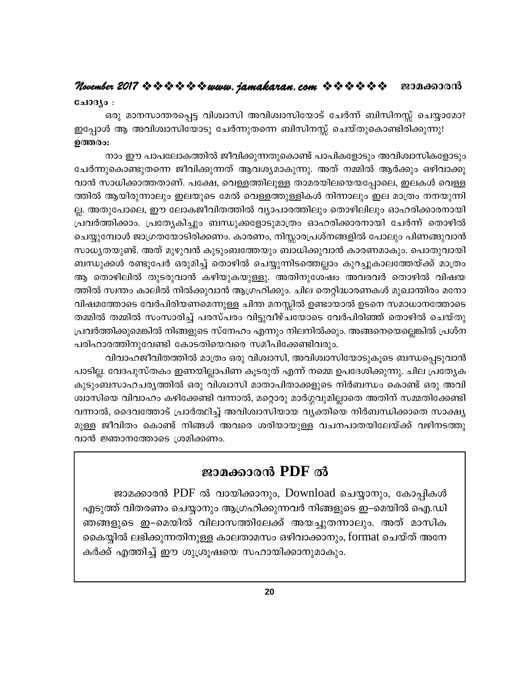### November 2017 \* \* \* \* \* \* \* www. jamakaran.com \* \* \* \* \* \* ജാമക്കാരൻ

### ചോദ്യം :

ഒരു മാനസാന്തരപ്പെട്ട വിശ്വാസി അവിശ്വാസിയോട് ചേർന്ന് ബിസിനസ്സ് ചെയ്യാമോ? ഇപ്പോൾ ആ അവിശ്വാസിയോടു ചേർന്നുതന്നെ ബിസിനസ്സ് ചെയ്തുകൊണ്ടിരിക്കുന്നു! ഉത്തരം:

നാം ഈ പാപലോകത്തിൽ ജീവിക്കുന്നതുകൊണ്ട് പാപികളോടും അവിശ്വാസികളോടും ചേർന്നുകൊണ്ടുതന്നെ ജീവിക്കുന്നത് ആവശ്യമാകുന്നു. അത് നമ്മിൽ ആർക്കും ഒഴിവാക്കു വാൻ സാധിക്കാത്തതാണ്. പക്ഷേ, വെള്ളത്തിലുള്ള താമരയിലയെയപ്പോലെ, ഇലകൾ വെള്ള ത്തിൽ ആയിരുന്നാലും ഇലയുടെ മേൽ വെള്ളത്തുള്ളികൾ നിന്നാലും ഇല മാത്രം നനയുന്നി ല്ല. അതുപോലെ, ഈ ലോകജീവിതത്തിൽ വ്യാപാരത്തിലും തൊഴിലിലും ഓഹരിക്കാരനായി പ്രവർത്തിക്കാം. പ്രത്യേകിച്ചും ബന്ധുക്കളോടുമാത്രം ഓഹരിക്കാരനായി ചേർന്ന് തൊഴിൽ ചെയ്യുമ്പോൾ ജാഗ്രതയോടിരിക്കണം. കാരണം, നിസ്സാരപ്രശ്നങ്ങളിൽ പോലും പിണങ്ങുവാൻ സാധൃതയുണ്ട്. അത് മുഴുവൻ കുടുംബത്തേയും ബാധിക്കുവാൻ കാരണമാകും. പൊതുവായി ബന്ധുക്കൾ രണ്ടുപേർ ഒരുമിച്ച് തൊഴിൽ ചെയ്യുന്നിടത്തെല്ലാം കുറച്ചുകാലത്തേയ്ക്ക് മാത്രം ആ തൊഴിലിൽ തുടരുവാൻ കഴിയുകയുള്ളു. അതിനുശേഷം അവരവർ തൊഴിൽ വിഷയ ത്തിൽ സ്വന്തം കാലിൽ നിൽക്കുവാൻ ആഗ്രഹിക്കും. ചില തെറ്റിദ്ധാരണകൾ മുഖാന്തിരം മനോ വിഷമത്തോടെ വേർപിരിയണമെന്നുള്ള ചിന്ത മനസ്സിൽ ഉണ്ടായാൽ ഉടനെ സമാധാനത്തോടെ തമ്മിൽ തമ്മിൽ സംസാരിച്ച് പരസ്പരം വിട്ടുവീഴ്ചയോടെ വേർപിരിഞ്ഞ് തൊഴിൽ ചെയ്തു പ്രവർത്തിക്കുമെങ്കിൽ നിങ്ങളുടെ സ്നേഹം എന്നും നിലനിൽക്കും. അങ്ങനെയെല്ലെങ്കിൽ പ്രശ്ന പരിഹാരത്തിനുവേണ്ടി കോടതിയെവരെ സമീപിക്കേണ്ടിവരും.

വിവാഹജീവിതത്തിൽ മാത്രം ഒരു വിശ്വാസി, അവിശ്വാസിയോടുകൂടെ ബന്ധപ്പെടുവാൻ പാടില്ല. വേദപുസ്തകം ഇണയില്ലാപിണ കൂടരുത് എന്ന് നമ്മെ ഉപദേശിക്കുന്നു. ചില പ്രത്യേക കുടുംബസാഹചര്യത്തിൽ ഒരു വിശ്വാസി മാതാപിതാക്കളുടെ നിർബന്ധം കൊണ്ട് ഒരു അവി ശ്വാസിയെ വിവാഹം കഴിക്കേണ്ടി വന്നാൽ, മറ്റൊരു മാർഗ്ഗവുമില്ലാതെ അതിന് സമ്മതിക്കേണ്ടി വന്നാൽ, ദൈവത്തോട് പ്രാർത്ഥിച്ച് അവിശ്വാസിയായ വ്യക്തിയെ നിർബന്ധിക്കാതെ സാക്ഷ്യ മുള്ള ജീവിതം കൊണ്ട് നിങ്ങൾ അവരെ ശരിയായുള്ള വചനപാതയിലേയ്ക്ക് വഴിനടത്തു വാൻ ജ്ഞാനത്തോടെ ശ്രമിക്കണം.

# ജാമക്കാരൻ PDF ൽ

ജാമക്കാരൻ PDF ൽ വായിക്കാനും, Download ചെയ്യാനും, കോപ്പികൾ എടുത്ത് വിതരണം ചെയ്യാനും ആഗ്രഹിക്കുന്നവർ നിങ്ങളുടെ ഇ–മെയിൽ ഐ.ഡി ഞങ്ങളുടെ ഇ–മെയിൽ വിലാസത്തിലേക്ക് അയച്ചുതന്നാലും. അത് മാസിക കൈയ്യിൽ ലഭിക്കുന്നതിനുള്ള കാലതാമസം ഒഴിവാക്കാനും, format ചെയ്ത് അനേ കർക്ക് എത്തിച്ച് ഈ ശുശ്രൂഷയെ സഹായിക്കാനുമാകും.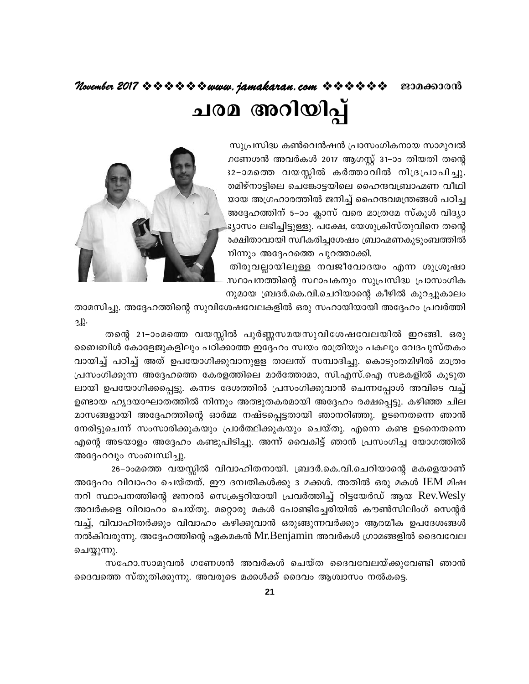# November 2017 \* \* \* \* \* \* \* www. jamakaran.com \* \* \* \* \* \* ജാമക്കാരൻ ചരമ അറിയിപ്പ്

സുപ്രസിദ്ധ കൺവെൻഷൻ പ്രാസംഗികനായ സാമുവൽ ഗണേശൻ അവർകൾ 2017 ആഗസ്റ്റ് 31–ാം തിയതി തന്റെ 32-ാമത്തെ വയസ്സിൽ കർത്താവിൽ നിദ്രപ്രാപിച്ചു. തമിഴ്നാട്ടിലെ ചെങ്കോട്ടയിലെ ഹൈന്ദവബ്രാഹ്മണ വീഥി യായ അഗ്രഹാരത്തിൽ ജനിച്ച് ഹൈന്ദവമന്ത്രങ്ങൾ പഠിച്ച അദ്ദേഹത്തിന് 5–ാം ക്ലാസ് വരെ മാത്രമേ സ്കൂൾ വിദ്യാ ട്യാസം ലഭിച്ചിട്ടുള്ളു. പക്ഷേ, യേശുക്രിസ്തുവിനെ തന്റെ രക്ഷിതാവായി സ്വീകരിച്ചശേഷം ബ്രാഹ്മണകുടുംബത്തിൽ നിന്നും അദ്ദേഹത്തെ പുറത്താക്കി.

തിരുവല്ലായിലുള്ള നവജീവോദയം എന്ന ശുശ്രൂഷാ സ്ഥാപനത്തിന്റെ സ്ഥാപകനും സുപ്രസിദ്ധ പ്രാസംഗിക നുമായ ബ്രദർ.കെ.വി.ചെറിയാന്റെ കീഴിൽ കുറച്ചുകാലം



താമസിച്ചു. അദ്ദേഹത്തിന്റെ സുവിശേഷവേലകളിൽ ഒരു സഹായിയായി അദ്ദേഹം പ്രവർത്തി ஆ}.

തന്റെ 21-ാംമത്തെ വയസ്സിൽ പൂർണ്ണസമയസുവിശേഷവേലയിൽ ഇറങ്ങി. ഒരു ബൈബിൾ കോളേജുകളിലും പഠിക്കാത്ത ഇദ്ദേഹം സ്വയം രാത്രിയും പകലും വേദപുസ്തകം വായിച്ച് പഠിച്ച് അത് ഉപയോഗിക്കുവാനുളള താലന്ത് സമ്പാദിച്ചു. കൊടുംതമിഴിൽ മാത്രം പ്രസംഗിക്കുന്ന അദ്ദേഹത്തെ കേരളത്തിലെ മാർത്തോമാ, സി.എസ്.ഐ സഭകളിൽ കൂടുത ലായി ഉപയോഗിക്കപ്പെട്ടു. കന്നട ദേശത്തിൽ പ്രസംഗിക്കുവാൻ ചെന്നപ്പോൾ അവിടെ വച്ച് ഉണ്ടായ ഹൃദയാഘാതത്തിൽ നിന്നും അത്ഭുതകരമായി അദ്ദേഹം രക്ഷപ്പെട്ടു. കഴിഞ്ഞ ചില മാസങ്ങളായി അദ്ദേഹത്തിന്റെ ഓർമ്മ നഷ്ടപ്പെട്ടതായി ഞാനറിഞ്ഞു. ഉടനെതന്നെ ഞാൻ നേരിട്ടുചെന്ന് സംസാരിക്കുകയും പ്രാർത്ഥിക്കുകയും ചെയ്തു. എന്നെ കണ്ട ഉടനെതന്നെ എന്റെ അടയാളം അദ്ദേഹം കണ്ടുപിടിച്ചു. അന്ന് വൈകിട്ട് ഞാൻ പ്രസംഗിച്ച യോഗത്തിൽ അദ്ദേഹവും സംബന്ധിച്ചു.

26–ാംമത്തെ വയസ്സിൽ വിവാഹിതനായി. ബ്രദർ.കെ.വി.ചെറിയാന്റെ മകളെയാണ് അദ്ദേഹം വിവാഹം ചെയ്തത്. ഈ ദമ്പതികൾക്കു 3 മക്കൾ. അതിൽ ഒരു മകൾ IEM മിഷ നറി സ്ഥാപനത്തിന്റെ ജനറൽ സെക്രട്ടറിയായി പ്രവർത്തിച്ച് റിട്ടയേർഡ് ആയ Rev.Wesly അവർകളെ വിവാഹം ചെയ്തു. മറ്റൊരു മകൾ പോണ്ടിച്ചേരിയിൽ കൗൺസിലിംഗ് സെന്റർ വച്ച്, വിവാഹിതർക്കും വിവാഹം കഴിക്കുവാൻ ഒരുങ്ങുന്നവർക്കും ആത്മീക ഉപദേശങ്ങൾ നൽകിവരുന്നു. അദ്ദേഹത്തിന്റെ ഏകമകൻ Mr.Benjamin അവർകൾ ഗ്രാമങ്ങളിൽ ദൈവവേല ചെയ്യുന്നു.

സഹോ.സാമുവൽ ഗണേശൻ അവർകൾ ചെയ്ത ദൈവവേലയ്ക്കുവേണ്ടി ഞാൻ ദൈവത്തെ സ്തുതിക്കുന്നു. അവരുടെ മക്കൾക്ക് ദൈവം ആശ്വാസം നൽകട്ടെ.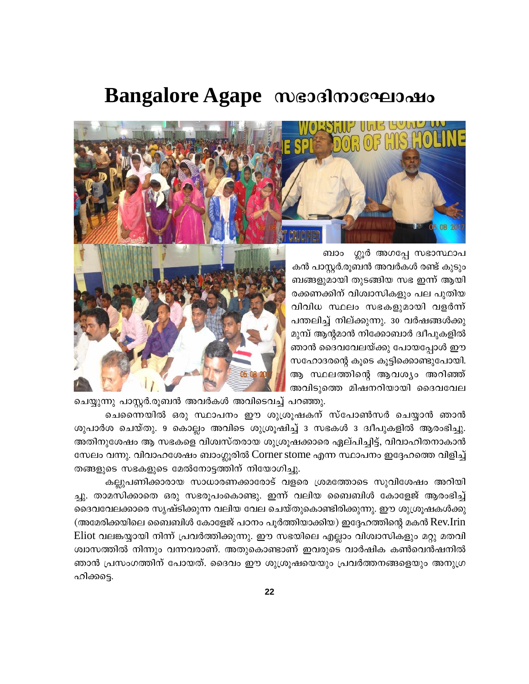# **Bangalore Agape messims соправить**



ബാം ശ്ലൂർ അഗപ്പേ സഭാസ്ഥാപ കൻ പാസ്റ്റർ.രുബൻ അവർകൾ രണ്ട് കുടും ബങ്ങളുമായി തുടങ്ങിയ സഭ ഇന്ന് ആയി രക്കണക്കിന് വിശ്വാസികളും പല പുതിയ വിവിധ സ്ഥലം സഭകളുമായി വളർന്ന് പന്തലിച്ച് നില്ക്കുന്നു. 30 വർഷങ്ങൾക്കു മുമ്പ് ആന്റമാൻ നിക്കോബാർ ദ്വീപുകളിൽ ഞാൻ ദൈവവേലയ്ക്കു പോയപ്പോൾ ഈ സഹോദരന്റെ കുടെ കുട്ടിക്കൊണ്ടുപോയി. ആ സ്ഥലത്തിന്റെ ആവശ്യം അറിഞ്ഞ് അവിടുത്തെ മിഷനറിയായി ദൈവവേല



ചെയ്യുന്നു പാസ്റ്റർ.രൂബൻ അവർകൾ അവിടെവച്ച് പറഞ്ഞു.

ചെന്നൈയിൽ ഒരു സ്ഥാപനം ഈ ശുശ്രൂഷകന് സ്പോൺസർ ചെയ്യാൻ ഞാൻ ശുപാർശ ചെയ്തു. 9 കൊല്ലം അവിടെ ശുശ്രൂഷിച്ച് 3 സഭകൾ 3 ദ്വീപുകളിൽ ആരംഭിച്ചു. അതിനുശേഷം ആ സഭകളെ വിശ്വസ്തരായ ശുശ്രൂഷക്കാരെ ഏല്പിച്ചിട്ട്, വിവാഹിതനാകാൻ സേലം വന്നു. വിവാഹശേഷം ബാംഗ്ലൂരിൽ Corner stome എന്ന സ്ഥാപനം ഇദ്ദേഹത്തെ വിളിച്ച് തങ്ങളുടെ സഭകളുടെ മേൽനോട്ടത്തിന് നിയോഗിച്ചു.

കല്ലുപണിക്കാരായ സാധാരണക്കാരോട് വളരെ ശ്രമത്തോടെ സുവിശേഷം അറിയി ച്ചു. താമസിക്കാതെ ഒരു സഭരുപംകൊണ്ടു. ഇന്ന് വലിയ ബൈബിൾ കോളേജ് ആരംഭിച്ച് ദൈവവേലക്കാരെ സൃഷ്ടിക്കുന്ന വലിയ വേല ചെയ്തുകൊണ്ടിരിക്കുന്നു. ഈ ശുശ്രൂഷകൾക്കു (അമേരിക്കയിലെ ബൈബിൾ കോളേജ് പഠനം പൂർത്തിയാക്കിയ) ഇദ്ദേഹത്തിന്റെ മകൻ Rev.Irin Eliot വലങ്കയ്യായി നിന്ന് പ്രവർത്തിക്കുന്നു. ഈ സഭയിലെ എല്ലാം വിശ്വാസികളും മറ്റു മതവി ശ്വാസത്തിൽ നിന്നും വന്നവരാണ്. അതുകൊണ്ടാണ് ഇവരുടെ വാർഷിക കൺവെൻഷനിൽ ഞാൻ പ്രസംഗത്തിന് പോയത്. ദൈവം ഈ ശുശ്രൂഷയെയും പ്രവർത്തനങ്ങളെയും അനുഗ്ര ഹിക്കടെ.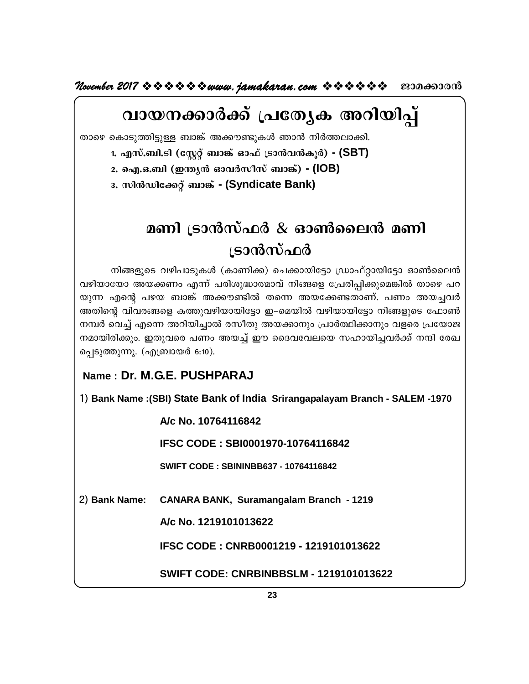*November 2017 \*\*\*\*\*\*\*\*\*\* www.jamakaran.com \*\*\*\*\*\*\** 201000000

# വായനക്കാർക്ക് പ്രത്യേക അറിയിപ്പ്

താഴെ കൊടുത്തിട്ടുള്ള ബാങ്ക് അക്കൗണ്ടുകൾ ഞാൻ നിർത്തലാക്കി.

1. എസ്.ബി.ടി (സ്റ്റേറ്റ് ബാങ്ക് ഓഫ് ട്രാൻവൻകൂർ) - (SBT)

2. ഐ.ഒ.ബി (ഇന്ത്യൻ ഓവർസീസ് ബാങ്ക്) - (IOB)

3. സിൻഡിക്കേറ്റ് ബാങ്ക് - (Syndicate Bank)

# മണി ട്രാൻസ്ഫർ & ഓൺലൈൻ മണി ട്രാൻസ്ഫർ

നിങ്ങളുടെ വഴിപാടുകൾ (കാണിക്ക) ചെക്കായിട്ടോ ഡ്രാഫ്റ്റായിട്ടോ ഓൺലൈൻ വഴിയായോ അയക്കണം എന്ന് പരിശുദ്ധാത്മാവ് നിങ്ങളെ പ്രേരിപ്പിക്കുമെങ്കിൽ താഴെ പറ യുന്ന എന്റെ പഴയ ബാങ്ക് അക്കൗണ്ടിൽ തന്നെ അയക്കേണ്ടതാണ്. പണം അയച്ചവർ അതിന്റെ വിവരങ്ങളെ കത്തുവഴിയായിട്ടോ ഇ–മെയിൽ വഴിയായിട്ടോ നിങ്ങളുടെ ഫോൺ നമ്പർ വെച്ച് എന്നെ അറിയിച്ചാൽ രസീതു അയക്കാനും പ്രാർത്ഥിക്കാനും വളരെ പ്രയോജ നമായിരിക്കും. ഇതുവരെ പണം അയച്ച് ഈ ദൈവവേലയെ സഹായിച്ചവർക്ക് നന്ദി രേഖ പ്പെടുത്തുന്നു. (എബ്രായർ 6:10).

### Name: Dr. M.G.E. PUSHPARAJ

1) Bank Name : (SBI) State Bank of India Srirangapalayam Branch - SALEM -1970

A/c No. 10764116842

IFSC CODE: SBI0001970-10764116842

**SWIFT CODE: SBININBB637 - 10764116842** 

2) Bank Name: CANARA BANK, Suramangalam Branch - 1219

A/c No. 1219101013622

IFSC CODE: CNRB0001219 - 1219101013622

**SWIFT CODE: CNRBINBBSLM - 1219101013622**